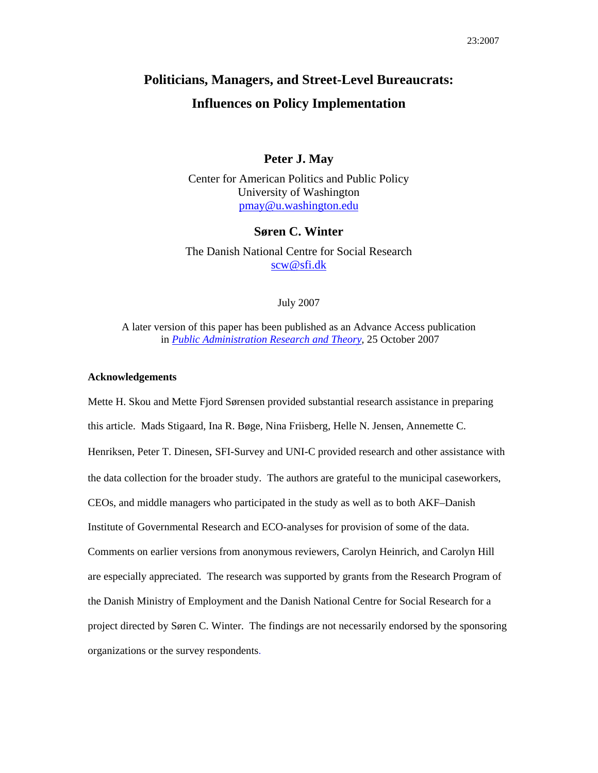## **Politicians, Managers, and Street-Level Bureaucrats: Influences on Policy Implementation**

#### **Peter J. May**

Center for American Politics and Public Policy University of Washington pmay@u.washington.edu

## **Søren C. Winter**

The Danish National Centre for Social Research scw@sfi.dk

#### July 2007

A later version of this paper has been published as an Advance Access publication in *[Public Administration Research and Theory,](http://jpart.oxfordjournals.org/cgi/reprint/mum030?ijkey=DTF5N2PB4TaeuiC&keytype=ref)* 25 October 2007

#### **Acknowledgements**

Mette H. Skou and Mette Fjord Sørensen provided substantial research assistance in preparing this article. Mads Stigaard, Ina R. Bøge, Nina Friisberg, Helle N. Jensen, Annemette C. Henriksen, Peter T. Dinesen, SFI-Survey and UNI-C provided research and other assistance with the data collection for the broader study. The authors are grateful to the municipal caseworkers, CEOs, and middle managers who participated in the study as well as to both AKF–Danish Institute of Governmental Research and ECO-analyses for provision of some of the data. Comments on earlier versions from anonymous reviewers, Carolyn Heinrich, and Carolyn Hill are especially appreciated. The research was supported by grants from the Research Program of the Danish Ministry of Employment and the Danish National Centre for Social Research for a project directed by Søren C. Winter. The findings are not necessarily endorsed by the sponsoring organizations or the survey respondents.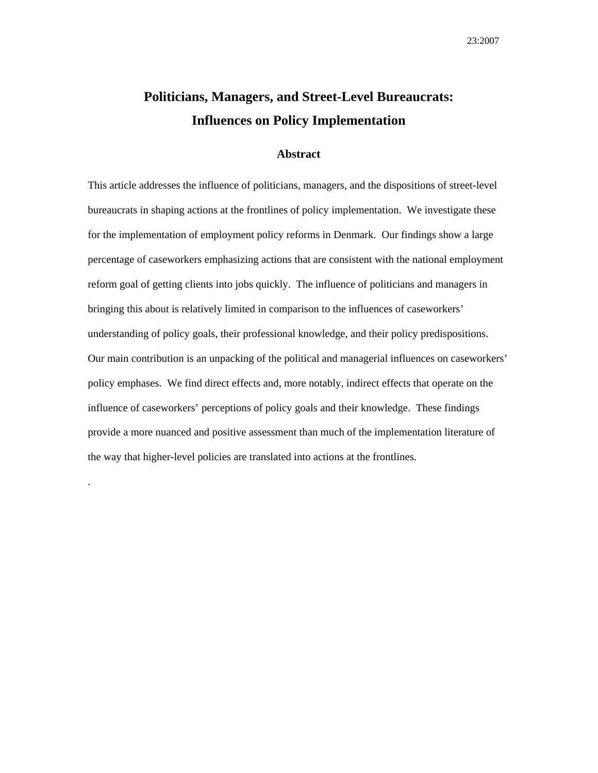# **Politicians, Managers, and Street-Level Bureaucrats: Influences on Policy Implementation**

#### **Abstract**

This article addresses the influence of politicians, managers, and the dispositions of street-level bureaucrats in shaping actions at the frontlines of policy implementation. We investigate these for the implementation of employment policy reforms in Denmark. Our findings show a large percentage of caseworkers emphasizing actions that are consistent with the national employment reform goal of getting clients into jobs quickly. The influence of politicians and managers in bringing this about is relatively limited in comparison to the influences of caseworkers' understanding of policy goals, their professional knowledge, and their policy predispositions. Our main contribution is an unpacking of the political and managerial influences on caseworkers' policy emphases. We find direct effects and, more notably, indirect effects that operate on the influence of caseworkers' perceptions of policy goals and their knowledge. These findings provide a more nuanced and positive assessment than much of the implementation literature of the way that higher-level policies are translated into actions at the frontlines.

.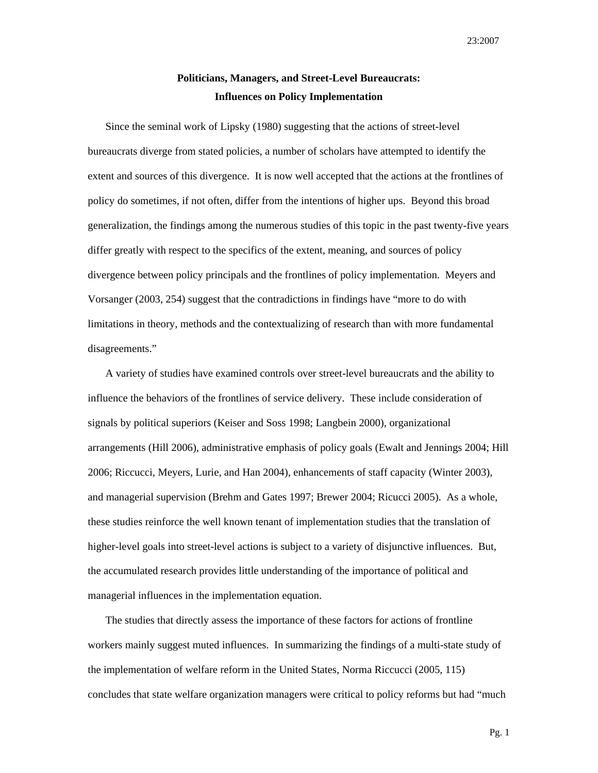## **Politicians, Managers, and Street-Level Bureaucrats: Influences on Policy Implementation**

Since the seminal work of Lipsky (1980) suggesting that the actions of street-level bureaucrats diverge from stated policies, a number of scholars have attempted to identify the extent and sources of this divergence. It is now well accepted that the actions at the frontlines of policy do sometimes, if not often, differ from the intentions of higher ups. Beyond this broad generalization, the findings among the numerous studies of this topic in the past twenty-five years differ greatly with respect to the specifics of the extent, meaning, and sources of policy divergence between policy principals and the frontlines of policy implementation. Meyers and Vorsanger (2003, 254) suggest that the contradictions in findings have "more to do with limitations in theory, methods and the contextualizing of research than with more fundamental disagreements."

A variety of studies have examined controls over street-level bureaucrats and the ability to influence the behaviors of the frontlines of service delivery. These include consideration of signals by political superiors (Keiser and Soss 1998; Langbein 2000), organizational arrangements (Hill 2006), administrative emphasis of policy goals (Ewalt and Jennings 2004; Hill 2006; Riccucci, Meyers, Lurie, and Han 2004), enhancements of staff capacity (Winter 2003), and managerial supervision (Brehm and Gates 1997; Brewer 2004; Ricucci 2005). As a whole, these studies reinforce the well known tenant of implementation studies that the translation of higher-level goals into street-level actions is subject to a variety of disjunctive influences. But, the accumulated research provides little understanding of the importance of political and managerial influences in the implementation equation.

The studies that directly assess the importance of these factors for actions of frontline workers mainly suggest muted influences. In summarizing the findings of a multi-state study of the implementation of welfare reform in the United States, Norma Riccucci (2005, 115) concludes that state welfare organization managers were critical to policy reforms but had "much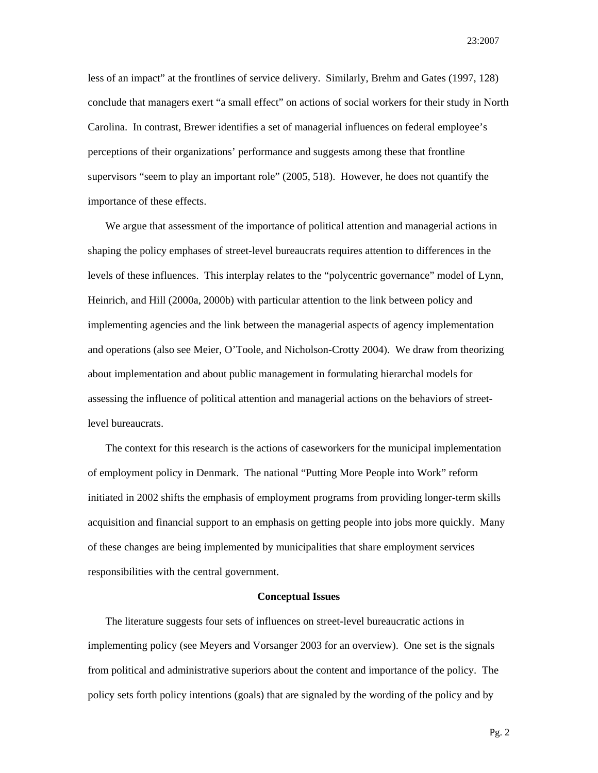less of an impact" at the frontlines of service delivery. Similarly, Brehm and Gates (1997, 128) conclude that managers exert "a small effect" on actions of social workers for their study in North Carolina. In contrast, Brewer identifies a set of managerial influences on federal employee's perceptions of their organizations' performance and suggests among these that frontline supervisors "seem to play an important role" (2005, 518). However, he does not quantify the importance of these effects.

We argue that assessment of the importance of political attention and managerial actions in shaping the policy emphases of street-level bureaucrats requires attention to differences in the levels of these influences. This interplay relates to the "polycentric governance" model of Lynn, Heinrich, and Hill (2000a, 2000b) with particular attention to the link between policy and implementing agencies and the link between the managerial aspects of agency implementation and operations (also see Meier, O'Toole, and Nicholson-Crotty 2004). We draw from theorizing about implementation and about public management in formulating hierarchal models for assessing the influence of political attention and managerial actions on the behaviors of streetlevel bureaucrats.

The context for this research is the actions of caseworkers for the municipal implementation of employment policy in Denmark. The national "Putting More People into Work" reform initiated in 2002 shifts the emphasis of employment programs from providing longer-term skills acquisition and financial support to an emphasis on getting people into jobs more quickly. Many of these changes are being implemented by municipalities that share employment services responsibilities with the central government.

#### **Conceptual Issues**

The literature suggests four sets of influences on street-level bureaucratic actions in implementing policy (see Meyers and Vorsanger 2003 for an overview). One set is the signals from political and administrative superiors about the content and importance of the policy. The policy sets forth policy intentions (goals) that are signaled by the wording of the policy and by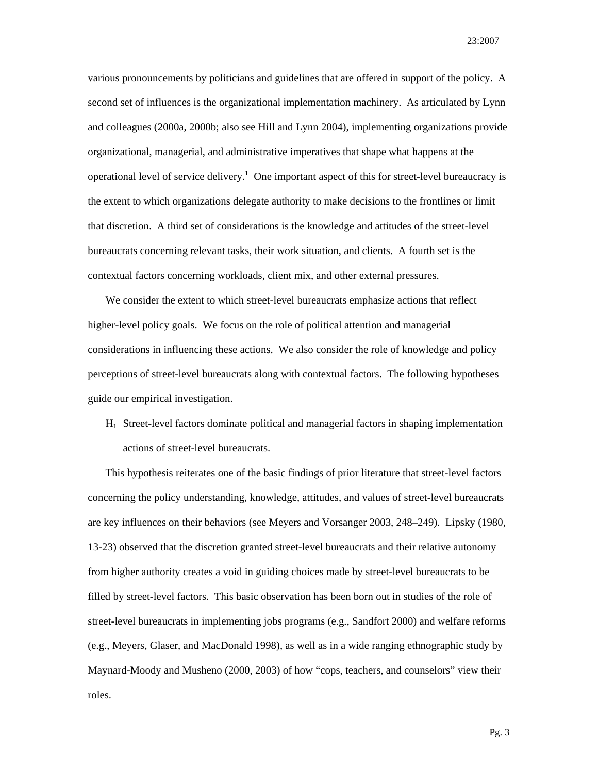various pronouncements by politicians and guidelines that are offered in support of the policy. A second set of influences is the organizational implementation machinery. As articulated by Lynn and colleagues (2000a, 2000b; also see Hill and Lynn 2004), implementing organizations provide organizational, managerial, and administrative imperatives that shape what happens at the operational level of service delivery.<sup>1</sup> One important aspect of this for street-level bureaucracy is the extent to which organizations delegate authority to make decisions to the frontlines or limit that discretion. A third set of considerations is the knowledge and attitudes of the street-level bureaucrats concerning relevant tasks, their work situation, and clients. A fourth set is the contextual factors concerning workloads, client mix, and other external pressures.

We consider the extent to which street-level bureaucrats emphasize actions that reflect higher-level policy goals. We focus on the role of political attention and managerial considerations in influencing these actions. We also consider the role of knowledge and policy perceptions of street-level bureaucrats along with contextual factors. The following hypotheses guide our empirical investigation.

 $H<sub>1</sub>$  Street-level factors dominate political and managerial factors in shaping implementation actions of street-level bureaucrats.

This hypothesis reiterates one of the basic findings of prior literature that street-level factors concerning the policy understanding, knowledge, attitudes, and values of street-level bureaucrats are key influences on their behaviors (see Meyers and Vorsanger 2003, 248–249). Lipsky (1980, 13-23) observed that the discretion granted street-level bureaucrats and their relative autonomy from higher authority creates a void in guiding choices made by street-level bureaucrats to be filled by street-level factors. This basic observation has been born out in studies of the role of street-level bureaucrats in implementing jobs programs (e.g., Sandfort 2000) and welfare reforms (e.g., Meyers, Glaser, and MacDonald 1998), as well as in a wide ranging ethnographic study by Maynard-Moody and Musheno (2000, 2003) of how "cops, teachers, and counselors" view their roles.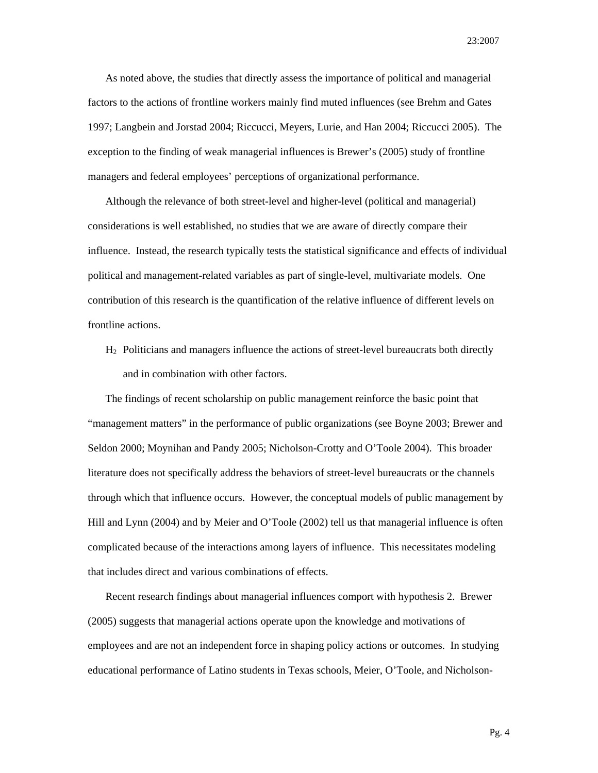As noted above, the studies that directly assess the importance of political and managerial factors to the actions of frontline workers mainly find muted influences (see Brehm and Gates 1997; Langbein and Jorstad 2004; Riccucci, Meyers, Lurie, and Han 2004; Riccucci 2005). The exception to the finding of weak managerial influences is Brewer's (2005) study of frontline managers and federal employees' perceptions of organizational performance.

Although the relevance of both street-level and higher-level (political and managerial) considerations is well established, no studies that we are aware of directly compare their influence. Instead, the research typically tests the statistical significance and effects of individual political and management-related variables as part of single-level, multivariate models. One contribution of this research is the quantification of the relative influence of different levels on frontline actions.

H2 Politicians and managers influence the actions of street-level bureaucrats both directly and in combination with other factors.

The findings of recent scholarship on public management reinforce the basic point that "management matters" in the performance of public organizations (see Boyne 2003; Brewer and Seldon 2000; Moynihan and Pandy 2005; Nicholson-Crotty and O'Toole 2004). This broader literature does not specifically address the behaviors of street-level bureaucrats or the channels through which that influence occurs. However, the conceptual models of public management by Hill and Lynn (2004) and by Meier and O'Toole (2002) tell us that managerial influence is often complicated because of the interactions among layers of influence. This necessitates modeling that includes direct and various combinations of effects.

Recent research findings about managerial influences comport with hypothesis 2. Brewer (2005) suggests that managerial actions operate upon the knowledge and motivations of employees and are not an independent force in shaping policy actions or outcomes. In studying educational performance of Latino students in Texas schools, Meier, O'Toole, and Nicholson-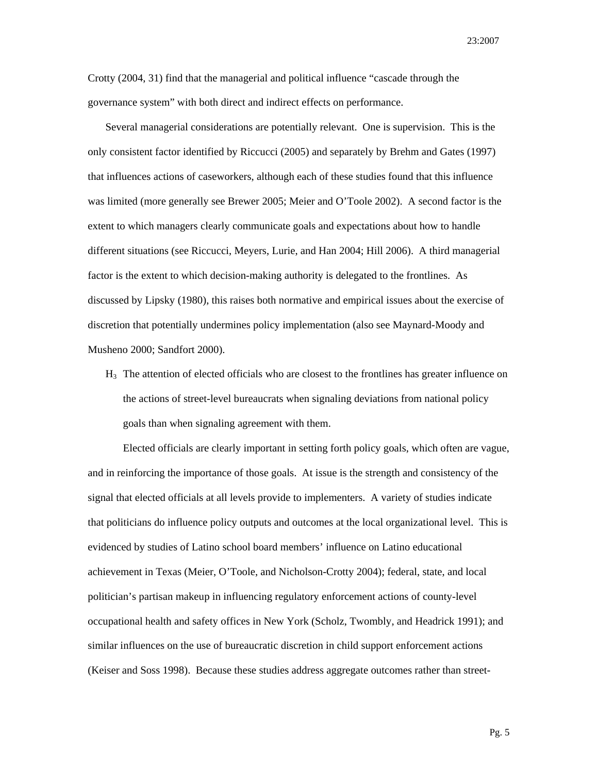Crotty (2004, 31) find that the managerial and political influence "cascade through the governance system" with both direct and indirect effects on performance.

Several managerial considerations are potentially relevant. One is supervision. This is the only consistent factor identified by Riccucci (2005) and separately by Brehm and Gates (1997) that influences actions of caseworkers, although each of these studies found that this influence was limited (more generally see Brewer 2005; Meier and O'Toole 2002). A second factor is the extent to which managers clearly communicate goals and expectations about how to handle different situations (see Riccucci, Meyers, Lurie, and Han 2004; Hill 2006). A third managerial factor is the extent to which decision-making authority is delegated to the frontlines. As discussed by Lipsky (1980), this raises both normative and empirical issues about the exercise of discretion that potentially undermines policy implementation (also see Maynard-Moody and Musheno 2000; Sandfort 2000).

 $H<sub>3</sub>$  The attention of elected officials who are closest to the frontlines has greater influence on the actions of street-level bureaucrats when signaling deviations from national policy goals than when signaling agreement with them.

Elected officials are clearly important in setting forth policy goals, which often are vague, and in reinforcing the importance of those goals. At issue is the strength and consistency of the signal that elected officials at all levels provide to implementers. A variety of studies indicate that politicians do influence policy outputs and outcomes at the local organizational level. This is evidenced by studies of Latino school board members' influence on Latino educational achievement in Texas (Meier, O'Toole, and Nicholson-Crotty 2004); federal, state, and local politician's partisan makeup in influencing regulatory enforcement actions of county-level occupational health and safety offices in New York (Scholz, Twombly, and Headrick 1991); and similar influences on the use of bureaucratic discretion in child support enforcement actions (Keiser and Soss 1998). Because these studies address aggregate outcomes rather than street-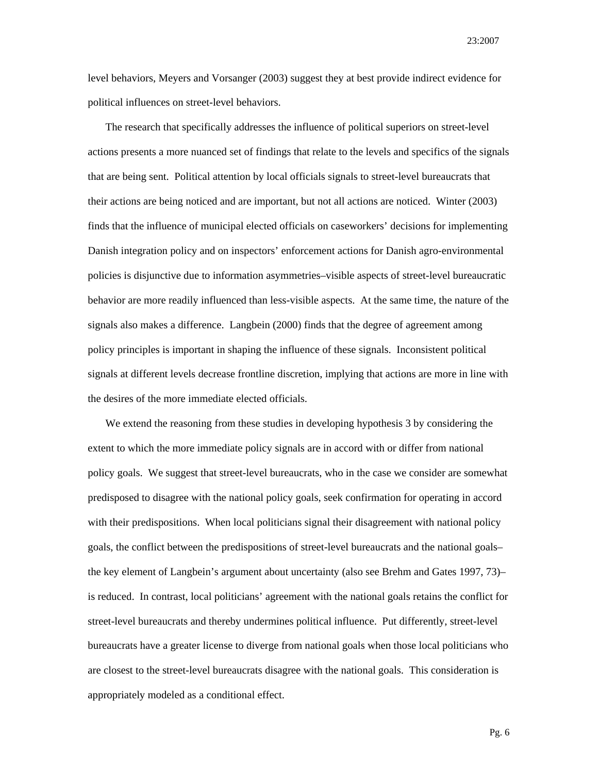level behaviors, Meyers and Vorsanger (2003) suggest they at best provide indirect evidence for political influences on street-level behaviors.

The research that specifically addresses the influence of political superiors on street-level actions presents a more nuanced set of findings that relate to the levels and specifics of the signals that are being sent. Political attention by local officials signals to street-level bureaucrats that their actions are being noticed and are important, but not all actions are noticed. Winter (2003) finds that the influence of municipal elected officials on caseworkers' decisions for implementing Danish integration policy and on inspectors' enforcement actions for Danish agro-environmental policies is disjunctive due to information asymmetries–visible aspects of street-level bureaucratic behavior are more readily influenced than less-visible aspects. At the same time, the nature of the signals also makes a difference. Langbein (2000) finds that the degree of agreement among policy principles is important in shaping the influence of these signals. Inconsistent political signals at different levels decrease frontline discretion, implying that actions are more in line with the desires of the more immediate elected officials.

We extend the reasoning from these studies in developing hypothesis 3 by considering the extent to which the more immediate policy signals are in accord with or differ from national policy goals. We suggest that street-level bureaucrats, who in the case we consider are somewhat predisposed to disagree with the national policy goals, seek confirmation for operating in accord with their predispositions. When local politicians signal their disagreement with national policy goals, the conflict between the predispositions of street-level bureaucrats and the national goals– the key element of Langbein's argument about uncertainty (also see Brehm and Gates 1997, 73)– is reduced. In contrast, local politicians' agreement with the national goals retains the conflict for street-level bureaucrats and thereby undermines political influence. Put differently, street-level bureaucrats have a greater license to diverge from national goals when those local politicians who are closest to the street-level bureaucrats disagree with the national goals. This consideration is appropriately modeled as a conditional effect.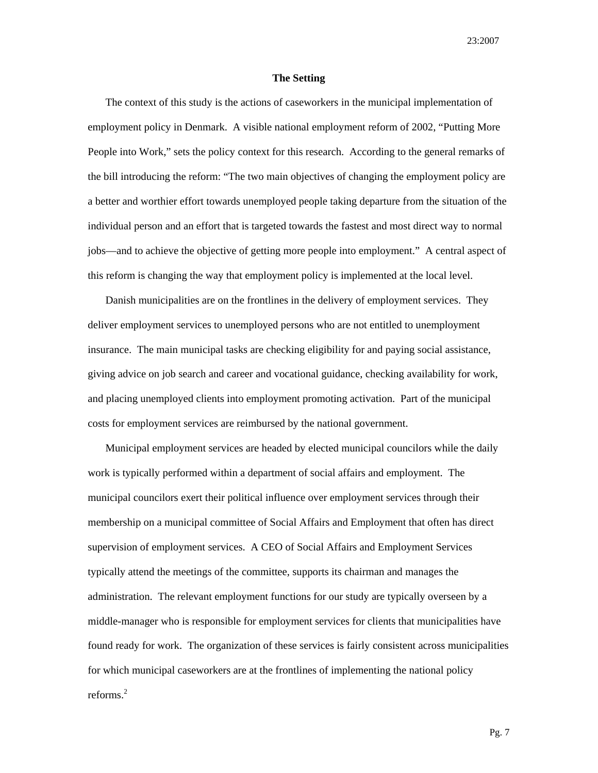#### **The Setting**

The context of this study is the actions of caseworkers in the municipal implementation of employment policy in Denmark. A visible national employment reform of 2002, "Putting More People into Work," sets the policy context for this research. According to the general remarks of the bill introducing the reform: "The two main objectives of changing the employment policy are a better and worthier effort towards unemployed people taking departure from the situation of the individual person and an effort that is targeted towards the fastest and most direct way to normal jobs—and to achieve the objective of getting more people into employment." A central aspect of this reform is changing the way that employment policy is implemented at the local level.

Danish municipalities are on the frontlines in the delivery of employment services. They deliver employment services to unemployed persons who are not entitled to unemployment insurance. The main municipal tasks are checking eligibility for and paying social assistance, giving advice on job search and career and vocational guidance, checking availability for work, and placing unemployed clients into employment promoting activation. Part of the municipal costs for employment services are reimbursed by the national government.

Municipal employment services are headed by elected municipal councilors while the daily work is typically performed within a department of social affairs and employment. The municipal councilors exert their political influence over employment services through their membership on a municipal committee of Social Affairs and Employment that often has direct supervision of employment services. A CEO of Social Affairs and Employment Services typically attend the meetings of the committee, supports its chairman and manages the administration. The relevant employment functions for our study are typically overseen by a middle-manager who is responsible for employment services for clients that municipalities have found ready for work. The organization of these services is fairly consistent across municipalities for which municipal caseworkers are at the frontlines of implementing the national policy reforms. $2$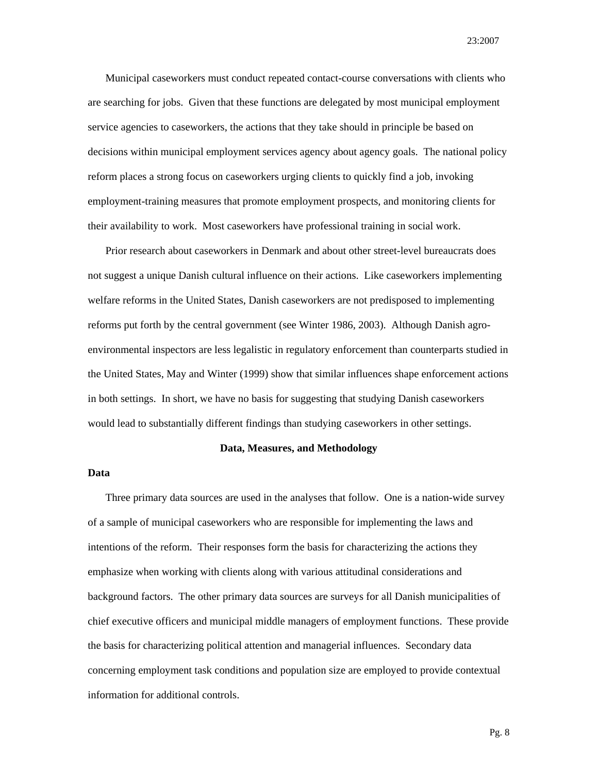Municipal caseworkers must conduct repeated contact-course conversations with clients who are searching for jobs. Given that these functions are delegated by most municipal employment service agencies to caseworkers, the actions that they take should in principle be based on decisions within municipal employment services agency about agency goals. The national policy reform places a strong focus on caseworkers urging clients to quickly find a job, invoking employment-training measures that promote employment prospects, and monitoring clients for their availability to work. Most caseworkers have professional training in social work.

Prior research about caseworkers in Denmark and about other street-level bureaucrats does not suggest a unique Danish cultural influence on their actions. Like caseworkers implementing welfare reforms in the United States, Danish caseworkers are not predisposed to implementing reforms put forth by the central government (see Winter 1986, 2003). Although Danish agroenvironmental inspectors are less legalistic in regulatory enforcement than counterparts studied in the United States, May and Winter (1999) show that similar influences shape enforcement actions in both settings. In short, we have no basis for suggesting that studying Danish caseworkers would lead to substantially different findings than studying caseworkers in other settings.

#### **Data, Measures, and Methodology**

#### **Data**

Three primary data sources are used in the analyses that follow. One is a nation-wide survey of a sample of municipal caseworkers who are responsible for implementing the laws and intentions of the reform. Their responses form the basis for characterizing the actions they emphasize when working with clients along with various attitudinal considerations and background factors. The other primary data sources are surveys for all Danish municipalities of chief executive officers and municipal middle managers of employment functions. These provide the basis for characterizing political attention and managerial influences. Secondary data concerning employment task conditions and population size are employed to provide contextual information for additional controls.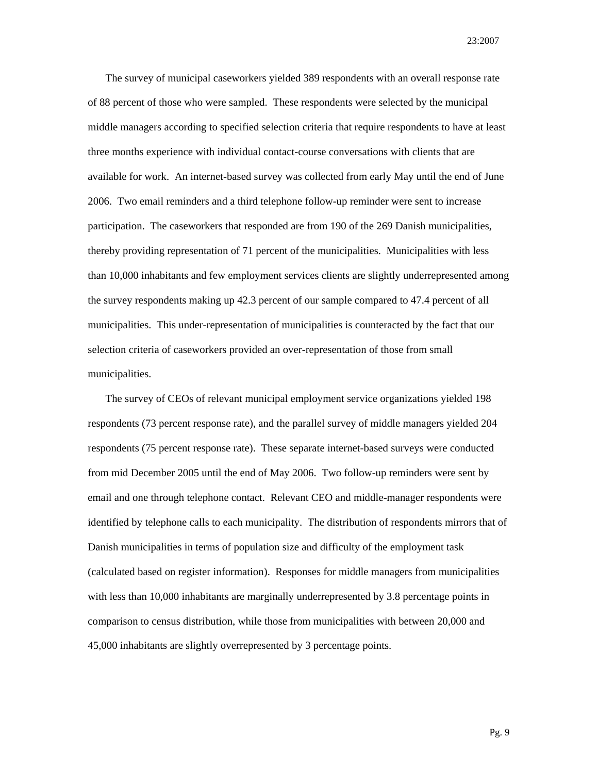The survey of municipal caseworkers yielded 389 respondents with an overall response rate of 88 percent of those who were sampled. These respondents were selected by the municipal middle managers according to specified selection criteria that require respondents to have at least three months experience with individual contact-course conversations with clients that are available for work. An internet-based survey was collected from early May until the end of June 2006. Two email reminders and a third telephone follow-up reminder were sent to increase participation. The caseworkers that responded are from 190 of the 269 Danish municipalities, thereby providing representation of 71 percent of the municipalities. Municipalities with less than 10,000 inhabitants and few employment services clients are slightly underrepresented among the survey respondents making up 42.3 percent of our sample compared to 47.4 percent of all municipalities. This under-representation of municipalities is counteracted by the fact that our selection criteria of caseworkers provided an over-representation of those from small municipalities.

The survey of CEOs of relevant municipal employment service organizations yielded 198 respondents (73 percent response rate), and the parallel survey of middle managers yielded 204 respondents (75 percent response rate). These separate internet-based surveys were conducted from mid December 2005 until the end of May 2006. Two follow-up reminders were sent by email and one through telephone contact. Relevant CEO and middle-manager respondents were identified by telephone calls to each municipality. The distribution of respondents mirrors that of Danish municipalities in terms of population size and difficulty of the employment task (calculated based on register information). Responses for middle managers from municipalities with less than 10,000 inhabitants are marginally underrepresented by 3.8 percentage points in comparison to census distribution, while those from municipalities with between 20,000 and 45,000 inhabitants are slightly overrepresented by 3 percentage points.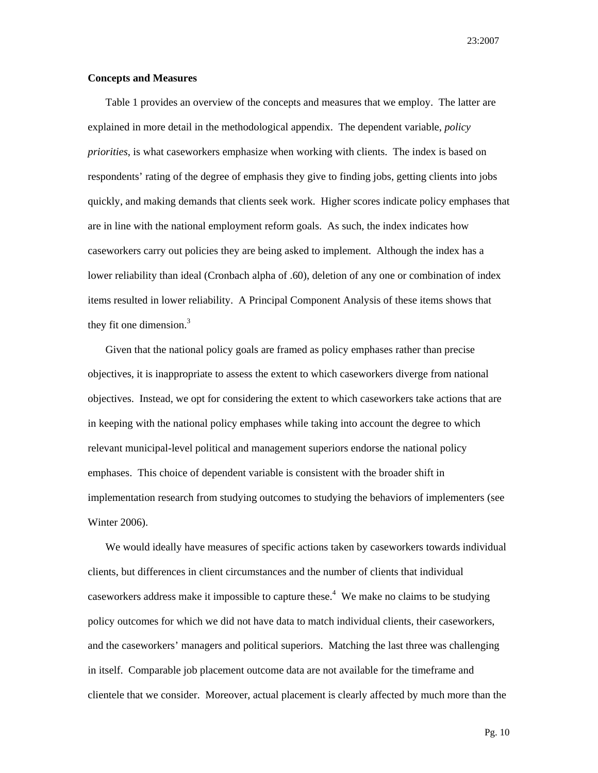#### **Concepts and Measures**

Table 1 provides an overview of the concepts and measures that we employ. The latter are explained in more detail in the methodological appendix. The dependent variable, *policy priorities*, is what caseworkers emphasize when working with clients. The index is based on respondents' rating of the degree of emphasis they give to finding jobs, getting clients into jobs quickly, and making demands that clients seek work. Higher scores indicate policy emphases that are in line with the national employment reform goals. As such, the index indicates how caseworkers carry out policies they are being asked to implement. Although the index has a lower reliability than ideal (Cronbach alpha of .60), deletion of any one or combination of index items resulted in lower reliability. A Principal Component Analysis of these items shows that they fit one dimension. $3$ 

Given that the national policy goals are framed as policy emphases rather than precise objectives, it is inappropriate to assess the extent to which caseworkers diverge from national objectives. Instead, we opt for considering the extent to which caseworkers take actions that are in keeping with the national policy emphases while taking into account the degree to which relevant municipal-level political and management superiors endorse the national policy emphases. This choice of dependent variable is consistent with the broader shift in implementation research from studying outcomes to studying the behaviors of implementers (see Winter 2006).

We would ideally have measures of specific actions taken by caseworkers towards individual clients, but differences in client circumstances and the number of clients that individual caseworkers address make it impossible to capture these.<sup>4</sup> We make no claims to be studying policy outcomes for which we did not have data to match individual clients, their caseworkers, and the caseworkers' managers and political superiors. Matching the last three was challenging in itself. Comparable job placement outcome data are not available for the timeframe and clientele that we consider. Moreover, actual placement is clearly affected by much more than the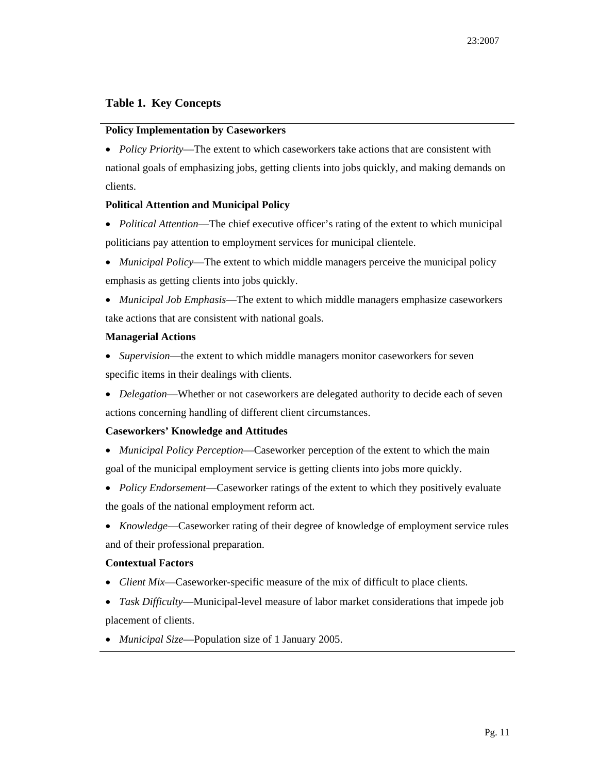## **Table 1. Key Concepts**

#### **Policy Implementation by Caseworkers**

• *Policy Priority*—The extent to which caseworkers take actions that are consistent with national goals of emphasizing jobs, getting clients into jobs quickly, and making demands on clients.

#### **Political Attention and Municipal Policy**

- *Political Attention*—The chief executive officer's rating of the extent to which municipal politicians pay attention to employment services for municipal clientele.
- *Municipal Policy*—The extent to which middle managers perceive the municipal policy emphasis as getting clients into jobs quickly.
- *Municipal Job Emphasis*—The extent to which middle managers emphasize caseworkers take actions that are consistent with national goals.

#### **Managerial Actions**

- *Supervision*—the extent to which middle managers monitor caseworkers for seven specific items in their dealings with clients.
- *Delegation*—Whether or not caseworkers are delegated authority to decide each of seven actions concerning handling of different client circumstances.

#### **Caseworkers' Knowledge and Attitudes**

- *Municipal Policy Perception*—Caseworker perception of the extent to which the main goal of the municipal employment service is getting clients into jobs more quickly.
- *Policy Endorsement*—Caseworker ratings of the extent to which they positively evaluate the goals of the national employment reform act.
- *Knowledge*—Caseworker rating of their degree of knowledge of employment service rules and of their professional preparation.

#### **Contextual Factors**

- *Client Mix*—Caseworker-specific measure of the mix of difficult to place clients.
- *Task Difficulty*—Municipal-level measure of labor market considerations that impede job placement of clients.
- *Municipal Size*—Population size of 1 January 2005.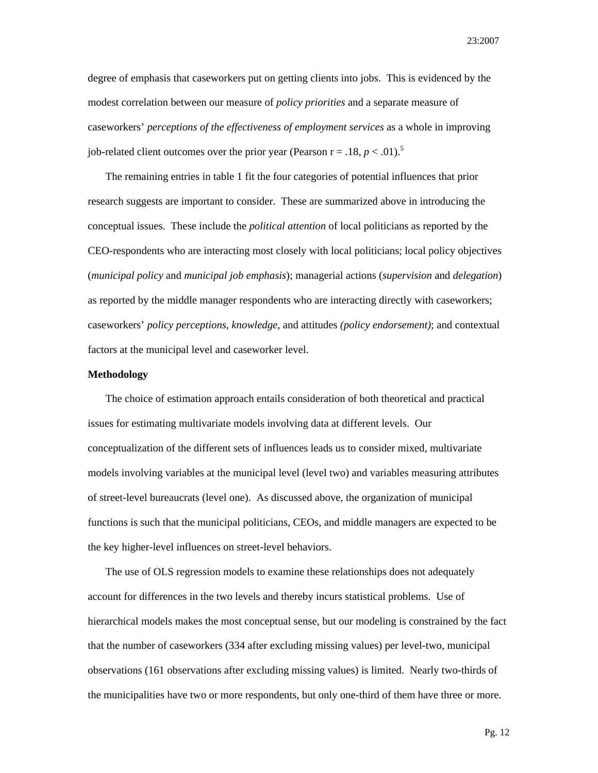degree of emphasis that caseworkers put on getting clients into jobs. This is evidenced by the modest correlation between our measure of *policy priorities* and a separate measure of caseworkers' *perceptions of the effectiveness of employment services* as a whole in improving job-related client outcomes over the prior year (Pearson  $r = .18$ ,  $p < .01$ ).<sup>5</sup>

The remaining entries in table 1 fit the four categories of potential influences that prior research suggests are important to consider. These are summarized above in introducing the conceptual issues. These include the *political attention* of local politicians as reported by the CEO-respondents who are interacting most closely with local politicians; local policy objectives (*municipal policy* and *municipal job emphasis*); managerial actions (*supervision* and *delegation*) as reported by the middle manager respondents who are interacting directly with caseworkers; caseworkers' *policy perceptions*, *knowledge*, and attitudes *(policy endorsement)*; and contextual factors at the municipal level and caseworker level.

#### **Methodology**

The choice of estimation approach entails consideration of both theoretical and practical issues for estimating multivariate models involving data at different levels. Our conceptualization of the different sets of influences leads us to consider mixed, multivariate models involving variables at the municipal level (level two) and variables measuring attributes of street-level bureaucrats (level one). As discussed above, the organization of municipal functions is such that the municipal politicians, CEOs, and middle managers are expected to be the key higher-level influences on street-level behaviors.

The use of OLS regression models to examine these relationships does not adequately account for differences in the two levels and thereby incurs statistical problems. Use of hierarchical models makes the most conceptual sense, but our modeling is constrained by the fact that the number of caseworkers (334 after excluding missing values) per level-two, municipal observations (161 observations after excluding missing values) is limited. Nearly two-thirds of the municipalities have two or more respondents, but only one-third of them have three or more.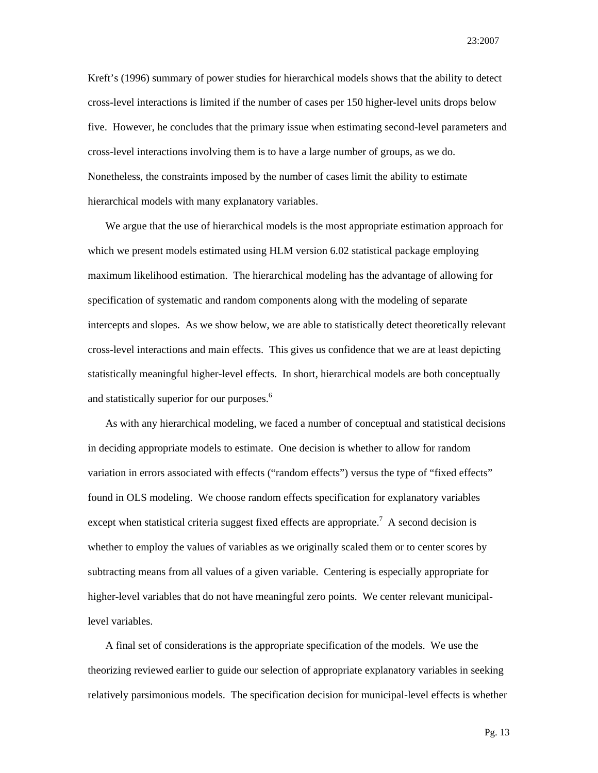Kreft's (1996) summary of power studies for hierarchical models shows that the ability to detect cross-level interactions is limited if the number of cases per 150 higher-level units drops below five. However, he concludes that the primary issue when estimating second-level parameters and cross-level interactions involving them is to have a large number of groups, as we do. Nonetheless, the constraints imposed by the number of cases limit the ability to estimate hierarchical models with many explanatory variables.

We argue that the use of hierarchical models is the most appropriate estimation approach for which we present models estimated using HLM version 6.02 statistical package employing maximum likelihood estimation. The hierarchical modeling has the advantage of allowing for specification of systematic and random components along with the modeling of separate intercepts and slopes. As we show below, we are able to statistically detect theoretically relevant cross-level interactions and main effects. This gives us confidence that we are at least depicting statistically meaningful higher-level effects. In short, hierarchical models are both conceptually and statistically superior for our purposes.<sup>6</sup>

As with any hierarchical modeling, we faced a number of conceptual and statistical decisions in deciding appropriate models to estimate. One decision is whether to allow for random variation in errors associated with effects ("random effects") versus the type of "fixed effects" found in OLS modeling. We choose random effects specification for explanatory variables except when statistical criteria suggest fixed effects are appropriate.<sup>7</sup> A second decision is whether to employ the values of variables as we originally scaled them or to center scores by subtracting means from all values of a given variable. Centering is especially appropriate for higher-level variables that do not have meaningful zero points. We center relevant municipallevel variables.

A final set of considerations is the appropriate specification of the models. We use the theorizing reviewed earlier to guide our selection of appropriate explanatory variables in seeking relatively parsimonious models. The specification decision for municipal-level effects is whether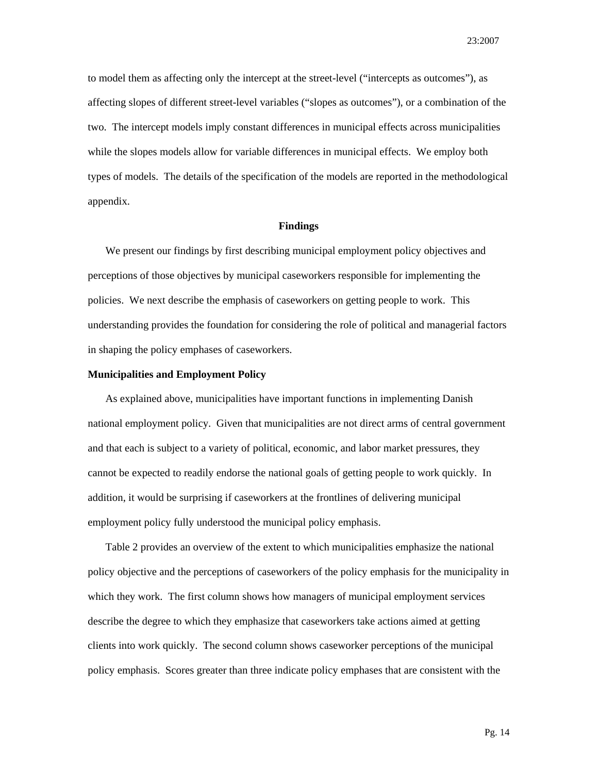to model them as affecting only the intercept at the street-level ("intercepts as outcomes"), as affecting slopes of different street-level variables ("slopes as outcomes"), or a combination of the two. The intercept models imply constant differences in municipal effects across municipalities while the slopes models allow for variable differences in municipal effects. We employ both types of models. The details of the specification of the models are reported in the methodological appendix.

#### **Findings**

We present our findings by first describing municipal employment policy objectives and perceptions of those objectives by municipal caseworkers responsible for implementing the policies. We next describe the emphasis of caseworkers on getting people to work. This understanding provides the foundation for considering the role of political and managerial factors in shaping the policy emphases of caseworkers.

#### **Municipalities and Employment Policy**

As explained above, municipalities have important functions in implementing Danish national employment policy. Given that municipalities are not direct arms of central government and that each is subject to a variety of political, economic, and labor market pressures, they cannot be expected to readily endorse the national goals of getting people to work quickly. In addition, it would be surprising if caseworkers at the frontlines of delivering municipal employment policy fully understood the municipal policy emphasis.

Table 2 provides an overview of the extent to which municipalities emphasize the national policy objective and the perceptions of caseworkers of the policy emphasis for the municipality in which they work. The first column shows how managers of municipal employment services describe the degree to which they emphasize that caseworkers take actions aimed at getting clients into work quickly. The second column shows caseworker perceptions of the municipal policy emphasis. Scores greater than three indicate policy emphases that are consistent with the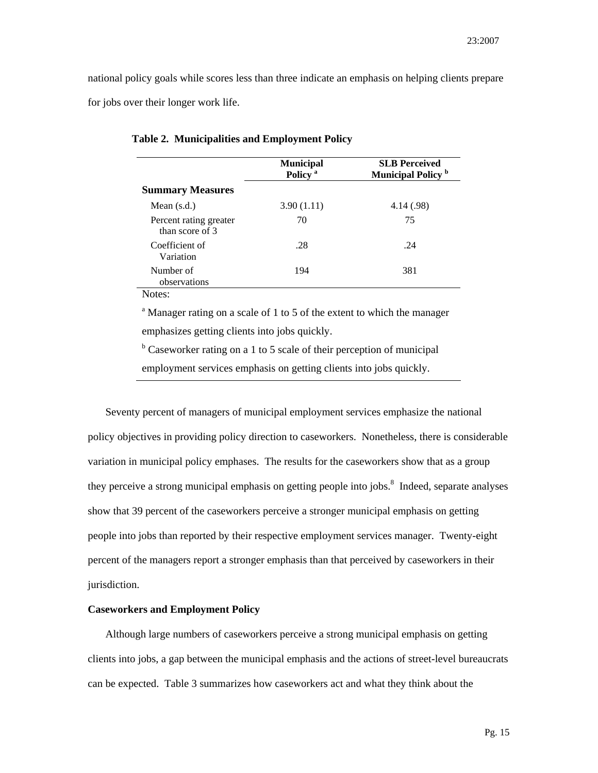national policy goals while scores less than three indicate an emphasis on helping clients prepare for jobs over their longer work life.

|                                           | <b>Municipal</b><br>Policy <sup>a</sup> | <b>SLB</b> Perceived<br><b>Municipal Policy</b> b |
|-------------------------------------------|-----------------------------------------|---------------------------------------------------|
| <b>Summary Measures</b>                   |                                         |                                                   |
| Mean $(s.d.)$                             | 3.90(1.11)                              | 4.14 (.98)                                        |
| Percent rating greater<br>than score of 3 | 70                                      | 75                                                |
| Coefficient of<br>Variation               | .28                                     | .24                                               |
| Number of<br>observations                 | 194                                     | 381                                               |

#### **Table 2. Municipalities and Employment Policy**

Notes:

<sup>a</sup> Manager rating on a scale of 1 to 5 of the extent to which the manager emphasizes getting clients into jobs quickly.

<sup>b</sup> Caseworker rating on a 1 to 5 scale of their perception of municipal employment services emphasis on getting clients into jobs quickly.

Seventy percent of managers of municipal employment services emphasize the national policy objectives in providing policy direction to caseworkers. Nonetheless, there is considerable variation in municipal policy emphases. The results for the caseworkers show that as a group they perceive a strong municipal emphasis on getting people into jobs.<sup>8</sup> Indeed, separate analyses show that 39 percent of the caseworkers perceive a stronger municipal emphasis on getting people into jobs than reported by their respective employment services manager. Twenty-eight percent of the managers report a stronger emphasis than that perceived by caseworkers in their jurisdiction.

#### **Caseworkers and Employment Policy**

Although large numbers of caseworkers perceive a strong municipal emphasis on getting clients into jobs, a gap between the municipal emphasis and the actions of street-level bureaucrats can be expected. Table 3 summarizes how caseworkers act and what they think about the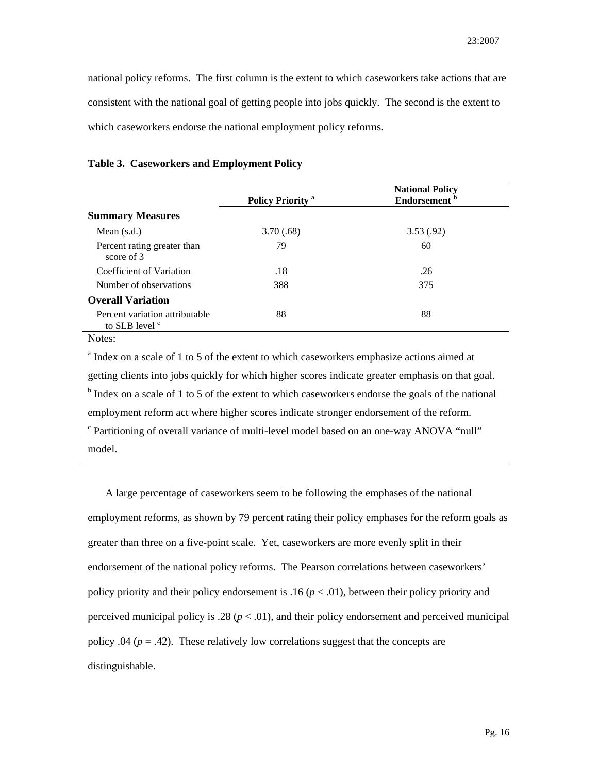national policy reforms. The first column is the extent to which caseworkers take actions that are consistent with the national goal of getting people into jobs quickly. The second is the extent to which caseworkers endorse the national employment policy reforms.

|                                                             | Policy Priority <sup>a</sup> | <b>National Policy</b><br>Endorsement <sup>b</sup> |  |
|-------------------------------------------------------------|------------------------------|----------------------------------------------------|--|
| <b>Summary Measures</b>                                     |                              |                                                    |  |
| Mean $(s.d.)$                                               | 3.70(.68)                    | 3.53(.92)                                          |  |
| Percent rating greater than<br>score of 3                   | 79                           | 60                                                 |  |
| Coefficient of Variation                                    | .18                          | .26                                                |  |
| Number of observations                                      | 388                          | 375                                                |  |
| <b>Overall Variation</b>                                    |                              |                                                    |  |
| Percent variation attributable<br>to SLB level <sup>c</sup> | 88                           | 88                                                 |  |

#### **Table 3. Caseworkers and Employment Policy**

Notes:

<sup>a</sup> Index on a scale of 1 to 5 of the extent to which caseworkers emphasize actions aimed at getting clients into jobs quickly for which higher scores indicate greater emphasis on that goal. <sup>b</sup> Index on a scale of 1 to 5 of the extent to which caseworkers endorse the goals of the national employment reform act where higher scores indicate stronger endorsement of the reform. <sup>c</sup> Partitioning of overall variance of multi-level model based on an one-way ANOVA "null" model.

A large percentage of caseworkers seem to be following the emphases of the national employment reforms, as shown by 79 percent rating their policy emphases for the reform goals as greater than three on a five-point scale. Yet, caseworkers are more evenly split in their endorsement of the national policy reforms. The Pearson correlations between caseworkers' policy priority and their policy endorsement is .16 (*p* < .01), between their policy priority and perceived municipal policy is .28 ( $p < .01$ ), and their policy endorsement and perceived municipal policy .04 ( $p = .42$ ). These relatively low correlations suggest that the concepts are distinguishable.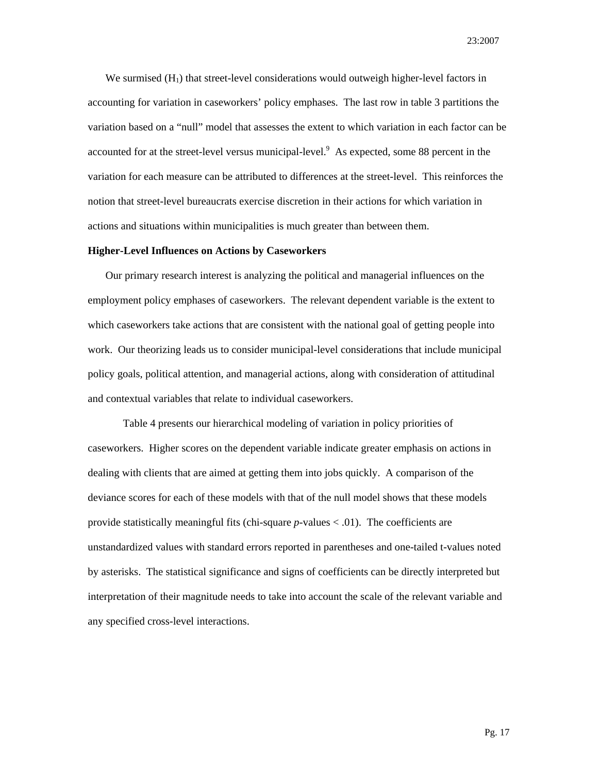We surmised  $(H<sub>1</sub>)$  that street-level considerations would outweigh higher-level factors in accounting for variation in caseworkers' policy emphases. The last row in table 3 partitions the variation based on a "null" model that assesses the extent to which variation in each factor can be accounted for at the street-level versus municipal-level.<sup>9</sup> As expected, some 88 percent in the variation for each measure can be attributed to differences at the street-level. This reinforces the notion that street-level bureaucrats exercise discretion in their actions for which variation in actions and situations within municipalities is much greater than between them.

#### **Higher-Level Influences on Actions by Caseworkers**

Our primary research interest is analyzing the political and managerial influences on the employment policy emphases of caseworkers. The relevant dependent variable is the extent to which caseworkers take actions that are consistent with the national goal of getting people into work. Our theorizing leads us to consider municipal-level considerations that include municipal policy goals, political attention, and managerial actions, along with consideration of attitudinal and contextual variables that relate to individual caseworkers.

Table 4 presents our hierarchical modeling of variation in policy priorities of caseworkers. Higher scores on the dependent variable indicate greater emphasis on actions in dealing with clients that are aimed at getting them into jobs quickly. A comparison of the deviance scores for each of these models with that of the null model shows that these models provide statistically meaningful fits (chi-square *p*-values < .01). The coefficients are unstandardized values with standard errors reported in parentheses and one-tailed t-values noted by asterisks. The statistical significance and signs of coefficients can be directly interpreted but interpretation of their magnitude needs to take into account the scale of the relevant variable and any specified cross-level interactions.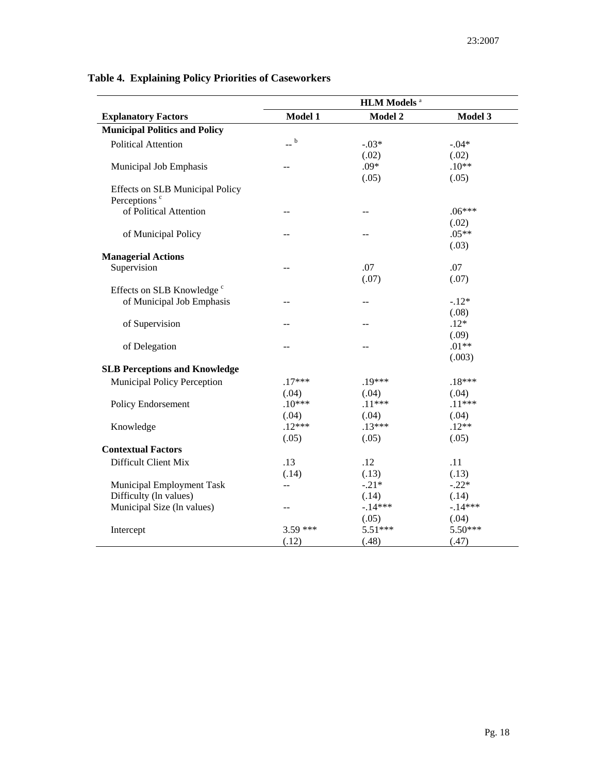|  |  |  |  |  | <b>Table 4. Explaining Policy Priorities of Caseworkers</b> |
|--|--|--|--|--|-------------------------------------------------------------|
|--|--|--|--|--|-------------------------------------------------------------|

|                                                             |                                          | HLM Models <sup>a</sup> |                 |
|-------------------------------------------------------------|------------------------------------------|-------------------------|-----------------|
| <b>Explanatory Factors</b>                                  | Model 1                                  | Model 2                 | Model 3         |
| <b>Municipal Politics and Policy</b>                        |                                          |                         |                 |
| <b>Political Attention</b>                                  | $\overline{\phantom{a}}^{\phantom{a}}$ b | $-.03*$                 | $-.04*$         |
|                                                             |                                          | (.02)                   | (.02)           |
| Municipal Job Emphasis                                      |                                          | $.09*$                  | $.10**$         |
|                                                             |                                          | (.05)                   | (.05)           |
| Effects on SLB Municipal Policy<br>Perceptions <sup>c</sup> |                                          |                         |                 |
| of Political Attention                                      | --                                       | $-$                     | $.06***$        |
|                                                             |                                          |                         | (.02)           |
| of Municipal Policy                                         | $\sim$                                   | $-$                     | $.05**$         |
|                                                             |                                          |                         | (.03)           |
| <b>Managerial Actions</b>                                   |                                          |                         |                 |
| Supervision                                                 | $-$                                      | .07                     | .07             |
|                                                             |                                          | (.07)                   | (.07)           |
| Effects on SLB Knowledge <sup>c</sup>                       |                                          |                         |                 |
| of Municipal Job Emphasis                                   | --                                       | --                      | $-.12*$         |
|                                                             |                                          |                         | (.08)<br>$.12*$ |
| of Supervision                                              | --                                       | --                      | (.09)           |
| of Delegation                                               | $-$                                      | $-$                     | $.01**$         |
|                                                             |                                          |                         | (.003)          |
| <b>SLB Perceptions and Knowledge</b>                        |                                          |                         |                 |
| Municipal Policy Perception                                 | $.17***$                                 | $.19***$                | $.18***$        |
|                                                             | (.04)                                    | (.04)                   | (.04)           |
| Policy Endorsement                                          | $.10***$                                 | $.11***$                | $.11***$        |
|                                                             | (.04)                                    | (.04)                   | (.04)           |
| Knowledge                                                   | $.12***$                                 | $.13***$                | $.12**$         |
|                                                             | (.05)                                    | (.05)                   | (.05)           |
| <b>Contextual Factors</b>                                   |                                          |                         |                 |
| Difficult Client Mix                                        | .13                                      | .12                     | .11             |
|                                                             | (.14)                                    | (.13)                   | (.13)           |
| Municipal Employment Task                                   | $\overline{\phantom{m}}$                 | $-.21*$                 | $-.22*$         |
| Difficulty (ln values)                                      |                                          | (.14)                   | (.14)           |
| Municipal Size (ln values)                                  | $-$                                      | $-.14***$               | $-.14***$       |
|                                                             |                                          | (.05)                   | (.04)           |
| Intercept                                                   | 3.59 ***                                 | 5.51***                 | $5.50***$       |
|                                                             | (.12)                                    | (.48)                   | (.47)           |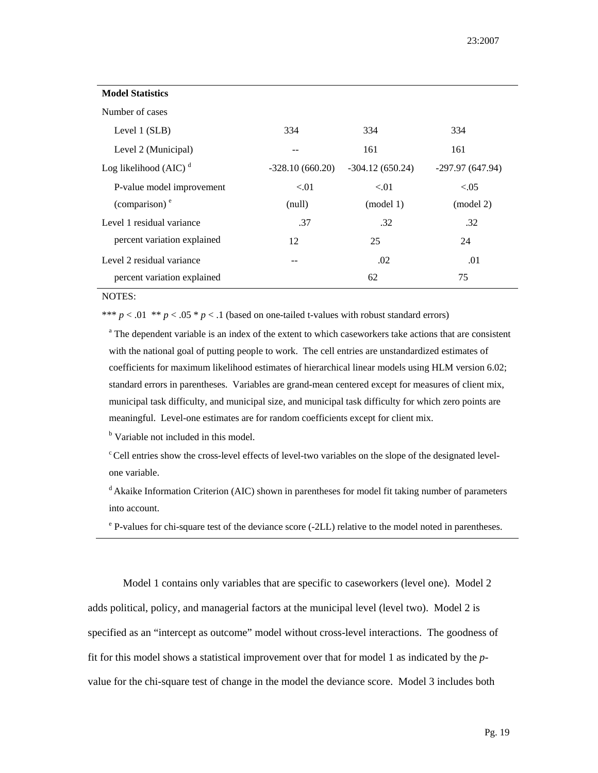| <b>Model Statistics</b>     |                   |                   |                   |
|-----------------------------|-------------------|-------------------|-------------------|
| Number of cases             |                   |                   |                   |
| Level 1 (SLB)               | 334               | 334               | 334               |
| Level 2 (Municipal)         |                   | 161               | 161               |
| Log likelihood $(AIC)^d$    | $-328.10(660.20)$ | $-304.12(650.24)$ | $-297.97(647.94)$ |
| P-value model improvement   | < 01              | < 01              | < 0.05            |
| (comparison) $e$            | (null)            | (mod 1)           | (mod 2)           |
| Level 1 residual variance   | .37               | .32               | .32               |
| percent variation explained | 12                | 25                | 24                |
| Level 2 residual variance   | $- -$             | .02               | .01               |
| percent variation explained |                   | 62                | 75                |

#### NOTES:

\*\*\*  $p < .01$  \*\*  $p < .05$  \*  $p < .1$  (based on one-tailed t-values with robust standard errors)

<sup>a</sup> The dependent variable is an index of the extent to which caseworkers take actions that are consistent with the national goal of putting people to work. The cell entries are unstandardized estimates of coefficients for maximum likelihood estimates of hierarchical linear models using HLM version 6.02; standard errors in parentheses. Variables are grand-mean centered except for measures of client mix, municipal task difficulty, and municipal size, and municipal task difficulty for which zero points are meaningful. Level-one estimates are for random coefficients except for client mix.

<sup>b</sup> Variable not included in this model.

<sup>c</sup> Cell entries show the cross-level effects of level-two variables on the slope of the designated levelone variable.

<sup>d</sup> Akaike Information Criterion (AIC) shown in parentheses for model fit taking number of parameters into account.

<sup>e</sup> P-values for chi-square test of the deviance score (-2LL) relative to the model noted in parentheses.

Model 1 contains only variables that are specific to caseworkers (level one). Model 2 adds political, policy, and managerial factors at the municipal level (level two). Model 2 is specified as an "intercept as outcome" model without cross-level interactions. The goodness of fit for this model shows a statistical improvement over that for model 1 as indicated by the *p*value for the chi-square test of change in the model the deviance score. Model 3 includes both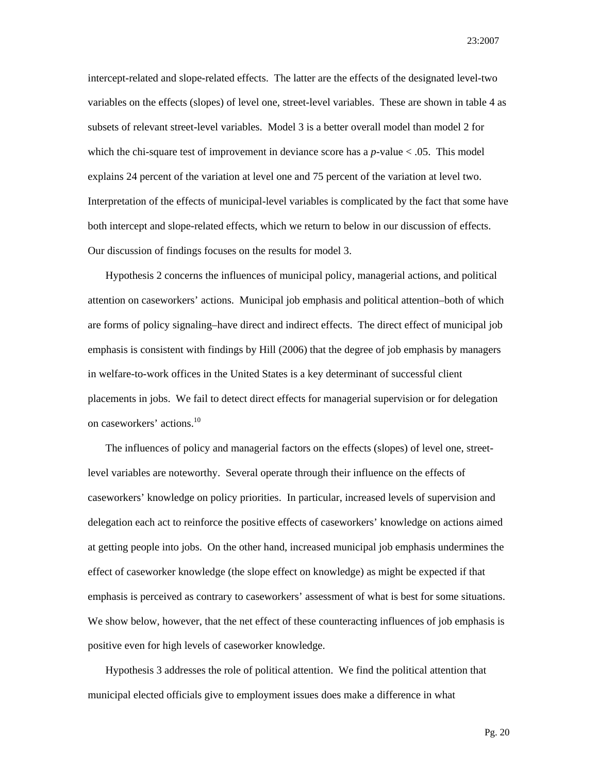intercept-related and slope-related effects. The latter are the effects of the designated level-two variables on the effects (slopes) of level one, street-level variables. These are shown in table 4 as subsets of relevant street-level variables. Model 3 is a better overall model than model 2 for which the chi-square test of improvement in deviance score has a  $p$ -value  $< .05$ . This model explains 24 percent of the variation at level one and 75 percent of the variation at level two. Interpretation of the effects of municipal-level variables is complicated by the fact that some have both intercept and slope-related effects, which we return to below in our discussion of effects. Our discussion of findings focuses on the results for model 3.

Hypothesis 2 concerns the influences of municipal policy, managerial actions, and political attention on caseworkers' actions. Municipal job emphasis and political attention–both of which are forms of policy signaling–have direct and indirect effects. The direct effect of municipal job emphasis is consistent with findings by Hill (2006) that the degree of job emphasis by managers in welfare-to-work offices in the United States is a key determinant of successful client placements in jobs. We fail to detect direct effects for managerial supervision or for delegation on caseworkers' actions.<sup>10</sup>

The influences of policy and managerial factors on the effects (slopes) of level one, streetlevel variables are noteworthy. Several operate through their influence on the effects of caseworkers' knowledge on policy priorities. In particular, increased levels of supervision and delegation each act to reinforce the positive effects of caseworkers' knowledge on actions aimed at getting people into jobs. On the other hand, increased municipal job emphasis undermines the effect of caseworker knowledge (the slope effect on knowledge) as might be expected if that emphasis is perceived as contrary to caseworkers' assessment of what is best for some situations. We show below, however, that the net effect of these counteracting influences of job emphasis is positive even for high levels of caseworker knowledge.

Hypothesis 3 addresses the role of political attention. We find the political attention that municipal elected officials give to employment issues does make a difference in what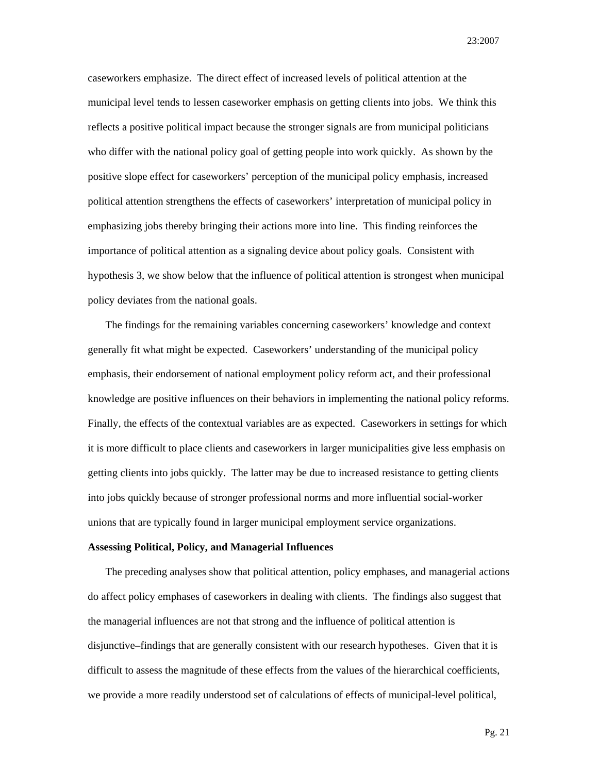caseworkers emphasize. The direct effect of increased levels of political attention at the municipal level tends to lessen caseworker emphasis on getting clients into jobs. We think this reflects a positive political impact because the stronger signals are from municipal politicians who differ with the national policy goal of getting people into work quickly. As shown by the positive slope effect for caseworkers' perception of the municipal policy emphasis, increased political attention strengthens the effects of caseworkers' interpretation of municipal policy in emphasizing jobs thereby bringing their actions more into line. This finding reinforces the importance of political attention as a signaling device about policy goals. Consistent with hypothesis 3, we show below that the influence of political attention is strongest when municipal policy deviates from the national goals.

The findings for the remaining variables concerning caseworkers' knowledge and context generally fit what might be expected. Caseworkers' understanding of the municipal policy emphasis, their endorsement of national employment policy reform act, and their professional knowledge are positive influences on their behaviors in implementing the national policy reforms. Finally, the effects of the contextual variables are as expected. Caseworkers in settings for which it is more difficult to place clients and caseworkers in larger municipalities give less emphasis on getting clients into jobs quickly. The latter may be due to increased resistance to getting clients into jobs quickly because of stronger professional norms and more influential social-worker unions that are typically found in larger municipal employment service organizations.

#### **Assessing Political, Policy, and Managerial Influences**

The preceding analyses show that political attention, policy emphases, and managerial actions do affect policy emphases of caseworkers in dealing with clients. The findings also suggest that the managerial influences are not that strong and the influence of political attention is disjunctive–findings that are generally consistent with our research hypotheses. Given that it is difficult to assess the magnitude of these effects from the values of the hierarchical coefficients, we provide a more readily understood set of calculations of effects of municipal-level political,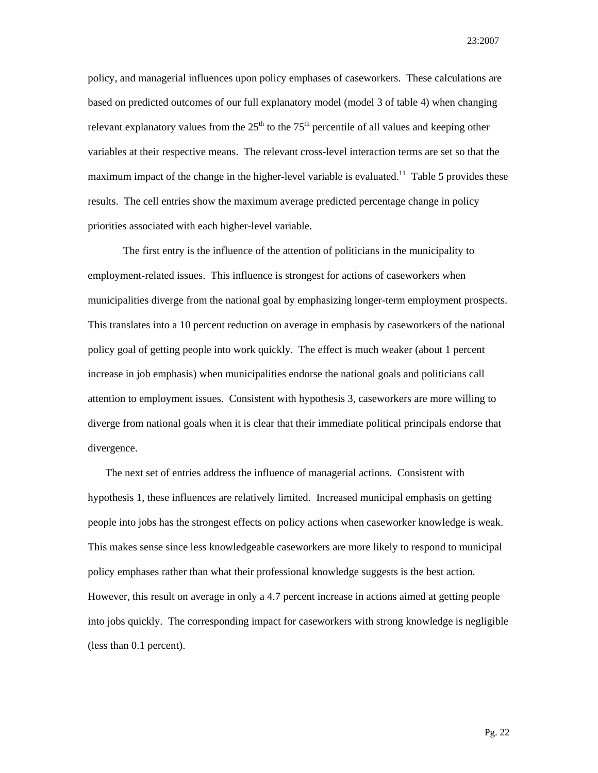policy, and managerial influences upon policy emphases of caseworkers. These calculations are based on predicted outcomes of our full explanatory model (model 3 of table 4) when changing relevant explanatory values from the  $25<sup>th</sup>$  to the  $75<sup>th</sup>$  percentile of all values and keeping other variables at their respective means. The relevant cross-level interaction terms are set so that the maximum impact of the change in the higher-level variable is evaluated.<sup>11</sup> Table 5 provides these results. The cell entries show the maximum average predicted percentage change in policy priorities associated with each higher-level variable.

The first entry is the influence of the attention of politicians in the municipality to employment-related issues. This influence is strongest for actions of caseworkers when municipalities diverge from the national goal by emphasizing longer-term employment prospects. This translates into a 10 percent reduction on average in emphasis by caseworkers of the national policy goal of getting people into work quickly. The effect is much weaker (about 1 percent increase in job emphasis) when municipalities endorse the national goals and politicians call attention to employment issues. Consistent with hypothesis 3, caseworkers are more willing to diverge from national goals when it is clear that their immediate political principals endorse that divergence.

The next set of entries address the influence of managerial actions. Consistent with hypothesis 1, these influences are relatively limited. Increased municipal emphasis on getting people into jobs has the strongest effects on policy actions when caseworker knowledge is weak. This makes sense since less knowledgeable caseworkers are more likely to respond to municipal policy emphases rather than what their professional knowledge suggests is the best action. However, this result on average in only a 4.7 percent increase in actions aimed at getting people into jobs quickly. The corresponding impact for caseworkers with strong knowledge is negligible (less than 0.1 percent).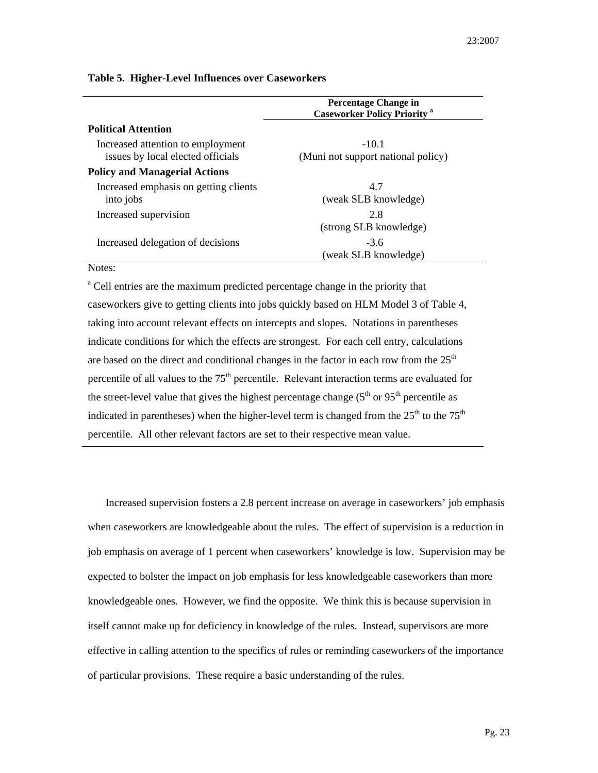|                                                                        | <b>Percentage Change in</b><br><b>Caseworker Policy Priority<sup>a</sup></b> |  |
|------------------------------------------------------------------------|------------------------------------------------------------------------------|--|
| <b>Political Attention</b>                                             |                                                                              |  |
| Increased attention to employment<br>issues by local elected officials | $-10.1$<br>(Muni not support national policy)                                |  |
| <b>Policy and Managerial Actions</b>                                   |                                                                              |  |
| Increased emphasis on getting clients<br>into jobs                     | 4.7<br>(weak SLB knowledge)                                                  |  |
| Increased supervision                                                  | 2.8                                                                          |  |
|                                                                        | (strong SLB knowledge)                                                       |  |
| Increased delegation of decisions                                      | $-3.6$                                                                       |  |
|                                                                        | (weak SLB knowledge)                                                         |  |

#### **Table 5. Higher-Level Influences over Caseworkers**

#### Notes:

<sup>a</sup> Cell entries are the maximum predicted percentage change in the priority that caseworkers give to getting clients into jobs quickly based on HLM Model 3 of Table 4, taking into account relevant effects on intercepts and slopes. Notations in parentheses indicate conditions for which the effects are strongest. For each cell entry, calculations are based on the direct and conditional changes in the factor in each row from the  $25<sup>th</sup>$ percentile of all values to the  $75<sup>th</sup>$  percentile. Relevant interaction terms are evaluated for the street-level value that gives the highest percentage change ( $5<sup>th</sup>$  or  $95<sup>th</sup>$  percentile as indicated in parentheses) when the higher-level term is changed from the  $25<sup>th</sup>$  to the  $75<sup>th</sup>$ percentile. All other relevant factors are set to their respective mean value.

Increased supervision fosters a 2.8 percent increase on average in caseworkers' job emphasis when caseworkers are knowledgeable about the rules. The effect of supervision is a reduction in job emphasis on average of 1 percent when caseworkers' knowledge is low. Supervision may be expected to bolster the impact on job emphasis for less knowledgeable caseworkers than more knowledgeable ones. However, we find the opposite. We think this is because supervision in itself cannot make up for deficiency in knowledge of the rules. Instead, supervisors are more effective in calling attention to the specifics of rules or reminding caseworkers of the importance of particular provisions. These require a basic understanding of the rules.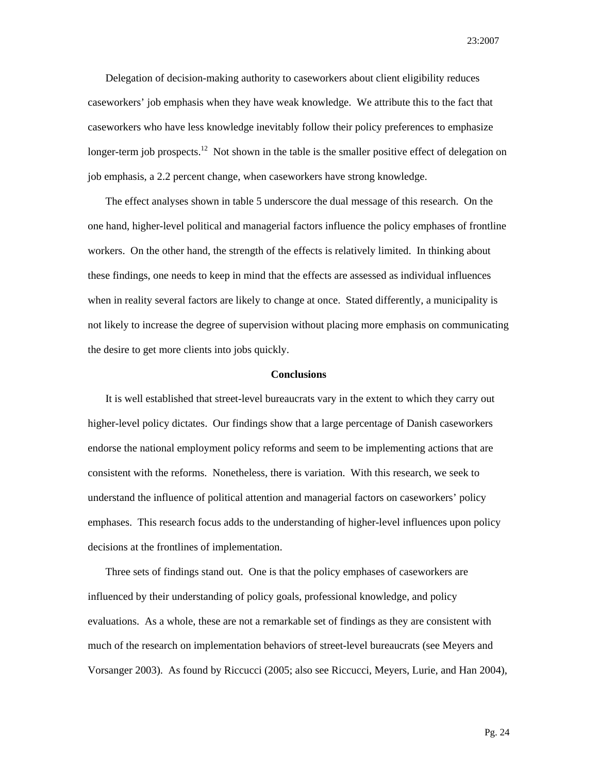Delegation of decision-making authority to caseworkers about client eligibility reduces caseworkers' job emphasis when they have weak knowledge. We attribute this to the fact that caseworkers who have less knowledge inevitably follow their policy preferences to emphasize longer-term job prospects.<sup>12</sup> Not shown in the table is the smaller positive effect of delegation on job emphasis, a 2.2 percent change, when caseworkers have strong knowledge.

The effect analyses shown in table 5 underscore the dual message of this research. On the one hand, higher-level political and managerial factors influence the policy emphases of frontline workers. On the other hand, the strength of the effects is relatively limited. In thinking about these findings, one needs to keep in mind that the effects are assessed as individual influences when in reality several factors are likely to change at once. Stated differently, a municipality is not likely to increase the degree of supervision without placing more emphasis on communicating the desire to get more clients into jobs quickly.

#### **Conclusions**

It is well established that street-level bureaucrats vary in the extent to which they carry out higher-level policy dictates. Our findings show that a large percentage of Danish caseworkers endorse the national employment policy reforms and seem to be implementing actions that are consistent with the reforms. Nonetheless, there is variation. With this research, we seek to understand the influence of political attention and managerial factors on caseworkers' policy emphases. This research focus adds to the understanding of higher-level influences upon policy decisions at the frontlines of implementation.

Three sets of findings stand out. One is that the policy emphases of caseworkers are influenced by their understanding of policy goals, professional knowledge, and policy evaluations. As a whole, these are not a remarkable set of findings as they are consistent with much of the research on implementation behaviors of street-level bureaucrats (see Meyers and Vorsanger 2003). As found by Riccucci (2005; also see Riccucci, Meyers, Lurie, and Han 2004),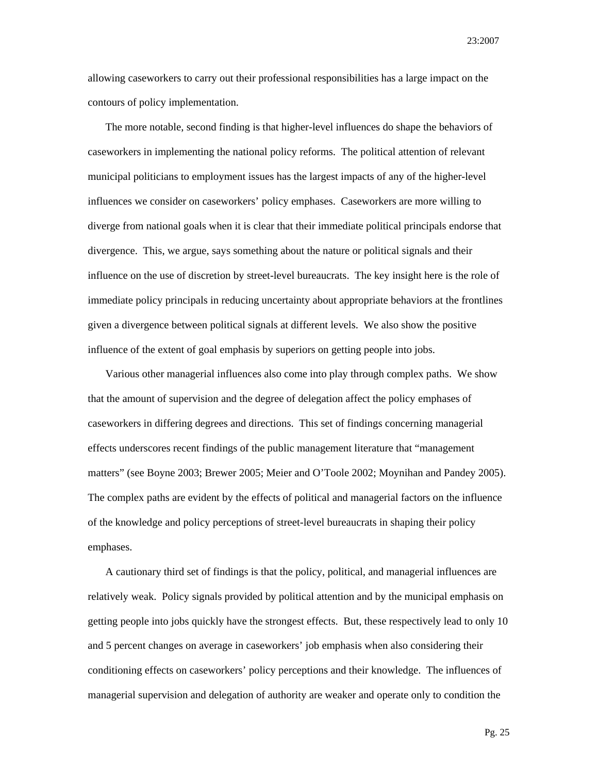allowing caseworkers to carry out their professional responsibilities has a large impact on the contours of policy implementation.

The more notable, second finding is that higher-level influences do shape the behaviors of caseworkers in implementing the national policy reforms. The political attention of relevant municipal politicians to employment issues has the largest impacts of any of the higher-level influences we consider on caseworkers' policy emphases. Caseworkers are more willing to diverge from national goals when it is clear that their immediate political principals endorse that divergence. This, we argue, says something about the nature or political signals and their influence on the use of discretion by street-level bureaucrats. The key insight here is the role of immediate policy principals in reducing uncertainty about appropriate behaviors at the frontlines given a divergence between political signals at different levels. We also show the positive influence of the extent of goal emphasis by superiors on getting people into jobs.

Various other managerial influences also come into play through complex paths. We show that the amount of supervision and the degree of delegation affect the policy emphases of caseworkers in differing degrees and directions. This set of findings concerning managerial effects underscores recent findings of the public management literature that "management matters" (see Boyne 2003; Brewer 2005; Meier and O'Toole 2002; Moynihan and Pandey 2005). The complex paths are evident by the effects of political and managerial factors on the influence of the knowledge and policy perceptions of street-level bureaucrats in shaping their policy emphases.

A cautionary third set of findings is that the policy, political, and managerial influences are relatively weak. Policy signals provided by political attention and by the municipal emphasis on getting people into jobs quickly have the strongest effects. But, these respectively lead to only 10 and 5 percent changes on average in caseworkers' job emphasis when also considering their conditioning effects on caseworkers' policy perceptions and their knowledge. The influences of managerial supervision and delegation of authority are weaker and operate only to condition the

 $\text{Pg. 25}$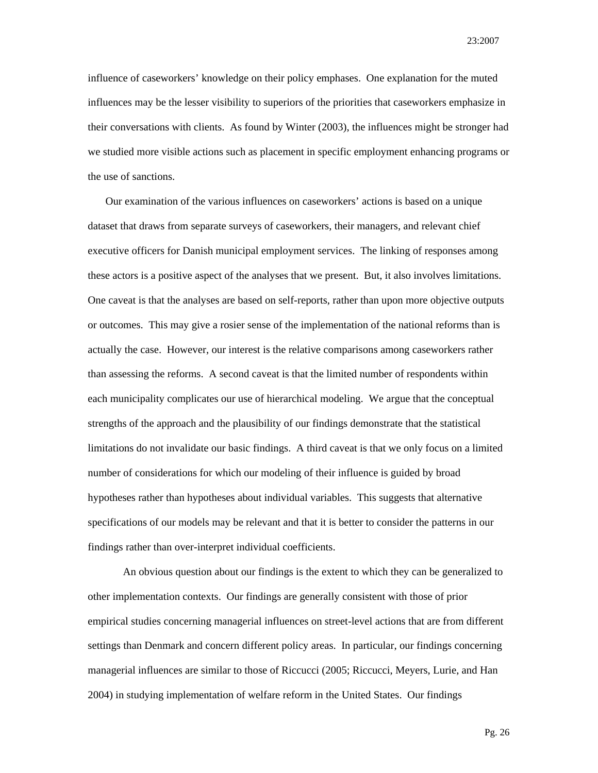influence of caseworkers' knowledge on their policy emphases. One explanation for the muted influences may be the lesser visibility to superiors of the priorities that caseworkers emphasize in their conversations with clients. As found by Winter (2003), the influences might be stronger had we studied more visible actions such as placement in specific employment enhancing programs or the use of sanctions.

Our examination of the various influences on caseworkers' actions is based on a unique dataset that draws from separate surveys of caseworkers, their managers, and relevant chief executive officers for Danish municipal employment services. The linking of responses among these actors is a positive aspect of the analyses that we present. But, it also involves limitations. One caveat is that the analyses are based on self-reports, rather than upon more objective outputs or outcomes. This may give a rosier sense of the implementation of the national reforms than is actually the case. However, our interest is the relative comparisons among caseworkers rather than assessing the reforms. A second caveat is that the limited number of respondents within each municipality complicates our use of hierarchical modeling. We argue that the conceptual strengths of the approach and the plausibility of our findings demonstrate that the statistical limitations do not invalidate our basic findings. A third caveat is that we only focus on a limited number of considerations for which our modeling of their influence is guided by broad hypotheses rather than hypotheses about individual variables. This suggests that alternative specifications of our models may be relevant and that it is better to consider the patterns in our findings rather than over-interpret individual coefficients.

An obvious question about our findings is the extent to which they can be generalized to other implementation contexts. Our findings are generally consistent with those of prior empirical studies concerning managerial influences on street-level actions that are from different settings than Denmark and concern different policy areas. In particular, our findings concerning managerial influences are similar to those of Riccucci (2005; Riccucci, Meyers, Lurie, and Han 2004) in studying implementation of welfare reform in the United States. Our findings

 $\text{Pg. 26}$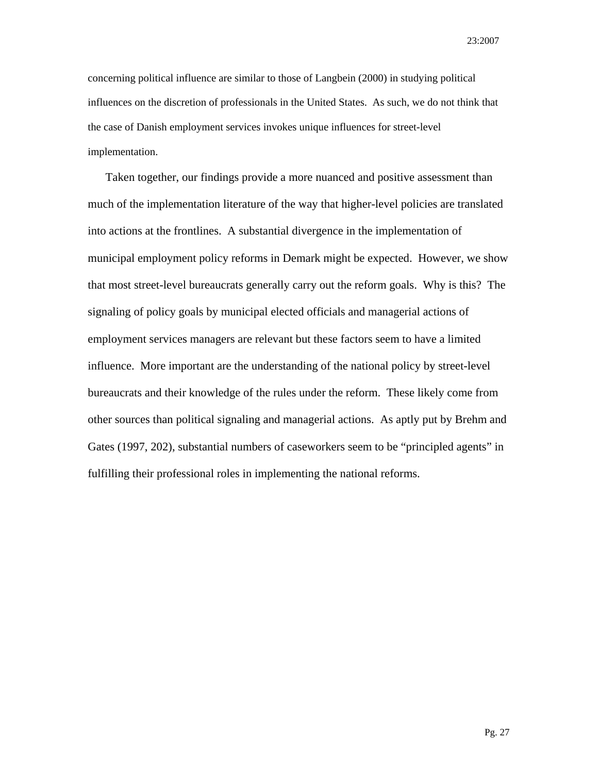concerning political influence are similar to those of Langbein (2000) in studying political influences on the discretion of professionals in the United States. As such, we do not think that the case of Danish employment services invokes unique influences for street-level implementation.

Taken together, our findings provide a more nuanced and positive assessment than much of the implementation literature of the way that higher-level policies are translated into actions at the frontlines. A substantial divergence in the implementation of municipal employment policy reforms in Demark might be expected. However, we show that most street-level bureaucrats generally carry out the reform goals. Why is this? The signaling of policy goals by municipal elected officials and managerial actions of employment services managers are relevant but these factors seem to have a limited influence. More important are the understanding of the national policy by street-level bureaucrats and their knowledge of the rules under the reform. These likely come from other sources than political signaling and managerial actions. As aptly put by Brehm and Gates (1997, 202), substantial numbers of caseworkers seem to be "principled agents" in fulfilling their professional roles in implementing the national reforms.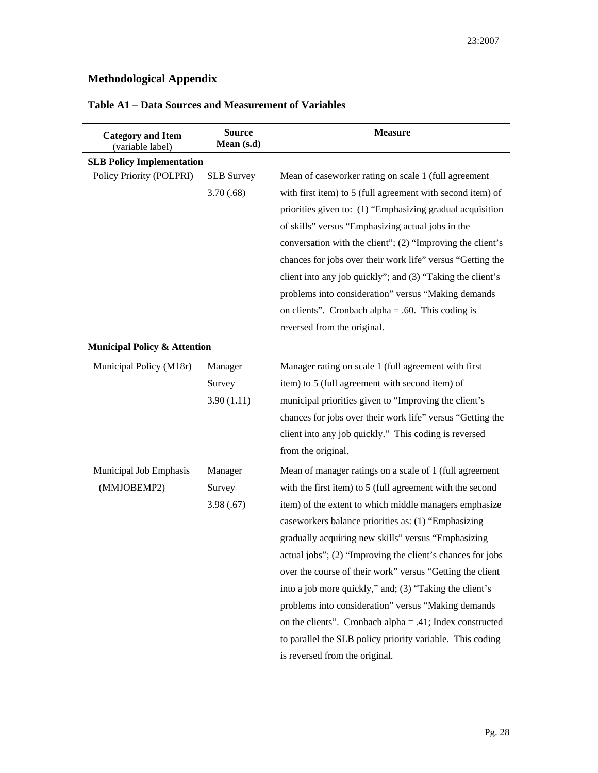## **Methodological Appendix**

| <b>Category and Item</b><br>(variable label) | <b>Source</b><br>Mean (s.d) | <b>Measure</b>                                              |
|----------------------------------------------|-----------------------------|-------------------------------------------------------------|
| <b>SLB Policy Implementation</b>             |                             |                                                             |
| Policy Priority (POLPRI)                     | <b>SLB</b> Survey           | Mean of caseworker rating on scale 1 (full agreement        |
|                                              | 3.70(.68)                   | with first item) to 5 (full agreement with second item) of  |
|                                              |                             | priorities given to: (1) "Emphasizing gradual acquisition   |
|                                              |                             | of skills" versus "Emphasizing actual jobs in the           |
|                                              |                             | conversation with the client"; (2) "Improving the client's  |
|                                              |                             | chances for jobs over their work life" versus "Getting the  |
|                                              |                             | client into any job quickly"; and (3) "Taking the client's  |
|                                              |                             | problems into consideration" versus "Making demands         |
|                                              |                             | on clients". Cronbach alpha = .60. This coding is           |
|                                              |                             | reversed from the original.                                 |
| <b>Municipal Policy &amp; Attention</b>      |                             |                                                             |
| Municipal Policy (M18r)                      | Manager                     | Manager rating on scale 1 (full agreement with first        |
|                                              | Survey                      | item) to 5 (full agreement with second item) of             |
|                                              | 3.90(1.11)                  | municipal priorities given to "Improving the client's       |
|                                              |                             | chances for jobs over their work life" versus "Getting the  |
|                                              |                             | client into any job quickly." This coding is reversed       |
|                                              |                             | from the original.                                          |
| Municipal Job Emphasis                       | Manager                     | Mean of manager ratings on a scale of 1 (full agreement     |
| (MMJOBEMP2)                                  | Survey                      | with the first item) to 5 (full agreement with the second   |
|                                              | 3.98(.67)                   | item) of the extent to which middle managers emphasize      |
|                                              |                             | caseworkers balance priorities as: (1) "Emphasizing         |
|                                              |                             | gradually acquiring new skills" versus "Emphasizing         |
|                                              |                             | actual jobs"; (2) "Improving the client's chances for jobs  |
|                                              |                             | over the course of their work" versus "Getting the client   |
|                                              |                             | into a job more quickly," and; (3) "Taking the client's     |
|                                              |                             | problems into consideration" versus "Making demands         |
|                                              |                             | on the clients". Cronbach alpha = $.41$ ; Index constructed |
|                                              |                             | to parallel the SLB policy priority variable. This coding   |
|                                              |                             | is reversed from the original.                              |

## **Table A1 – Data Sources and Measurement of Variables**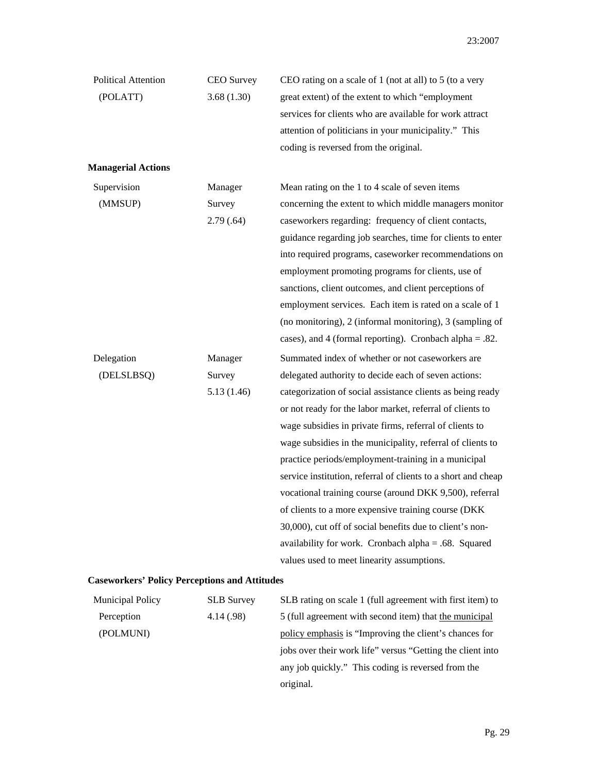| <b>Political Attention</b>                           | <b>CEO</b> Survey | CEO rating on a scale of 1 (not at all) to 5 (to a very       |
|------------------------------------------------------|-------------------|---------------------------------------------------------------|
| (POLATT)                                             | 3.68(1.30)        | great extent) of the extent to which "employment              |
|                                                      |                   | services for clients who are available for work attract       |
|                                                      |                   | attention of politicians in your municipality." This          |
|                                                      |                   | coding is reversed from the original.                         |
| <b>Managerial Actions</b>                            |                   |                                                               |
| Supervision                                          | Manager           | Mean rating on the 1 to 4 scale of seven items                |
| (MMSUP)                                              | Survey            | concerning the extent to which middle managers monitor        |
|                                                      | 2.79(.64)         | caseworkers regarding: frequency of client contacts,          |
|                                                      |                   | guidance regarding job searches, time for clients to enter    |
|                                                      |                   | into required programs, caseworker recommendations on         |
|                                                      |                   | employment promoting programs for clients, use of             |
|                                                      |                   | sanctions, client outcomes, and client perceptions of         |
|                                                      |                   | employment services. Each item is rated on a scale of 1       |
|                                                      |                   | (no monitoring), 2 (informal monitoring), 3 (sampling of      |
|                                                      |                   | cases), and 4 (formal reporting). Cronbach alpha = $.82$ .    |
| Delegation                                           | Manager           | Summated index of whether or not caseworkers are              |
| (DELSLBSQ)                                           | Survey            | delegated authority to decide each of seven actions:          |
|                                                      | 5.13(1.46)        | categorization of social assistance clients as being ready    |
|                                                      |                   | or not ready for the labor market, referral of clients to     |
|                                                      |                   | wage subsidies in private firms, referral of clients to       |
|                                                      |                   | wage subsidies in the municipality, referral of clients to    |
|                                                      |                   | practice periods/employment-training in a municipal           |
|                                                      |                   | service institution, referral of clients to a short and cheap |
|                                                      |                   | vocational training course (around DKK 9,500), referral       |
|                                                      |                   | of clients to a more expensive training course (DKK           |
|                                                      |                   | 30,000), cut off of social benefits due to client's non-      |
|                                                      |                   | availability for work. Cronbach alpha = .68. Squared          |
|                                                      |                   | values used to meet linearity assumptions.                    |
| <b>Caseworkers' Policy Perceptions and Attitudes</b> |                   |                                                               |
| Municipal Policy                                     | <b>SLB</b> Survey | SLB rating on scale 1 (full agreement with first item) to     |

Perception (POLMUNI) 4.14 (.98) 5 (full agreement with second item) that the municipal policy emphasis is "Improving the client's chances for jobs over their work life" versus "Getting the client into any job quickly." This coding is reversed from the original.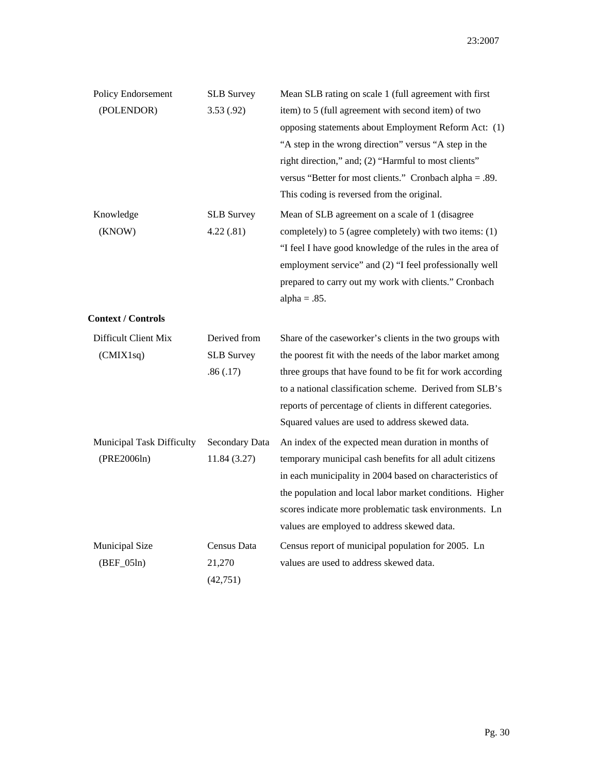| Policy Endorsement        | <b>SLB</b> Survey | Mean SLB rating on scale 1 (full agreement with first     |
|---------------------------|-------------------|-----------------------------------------------------------|
| (POLENDOR)                | 3.53(.92)         | item) to 5 (full agreement with second item) of two       |
|                           |                   | opposing statements about Employment Reform Act: (1)      |
|                           |                   | "A step in the wrong direction" versus "A step in the     |
|                           |                   | right direction," and; (2) "Harmful to most clients"      |
|                           |                   | versus "Better for most clients." Cronbach alpha = .89.   |
|                           |                   | This coding is reversed from the original.                |
| Knowledge                 | <b>SLB</b> Survey | Mean of SLB agreement on a scale of 1 (disagree)          |
| (KNOW)                    | 4.22(.81)         | completely) to 5 (agree completely) with two items: (1)   |
|                           |                   | "I feel I have good knowledge of the rules in the area of |
|                           |                   | employment service" and (2) "I feel professionally well   |
|                           |                   | prepared to carry out my work with clients." Cronbach     |
|                           |                   | alpha = $.85$ .                                           |
| <b>Context / Controls</b> |                   |                                                           |
| Difficult Client Mix      | Derived from      | Share of the caseworker's clients in the two groups with  |
| (CMIX1sq)                 | <b>SLB</b> Survey | the poorest fit with the needs of the labor market among  |
|                           | .86(.17)          | three groups that have found to be fit for work according |
|                           |                   | to a national classification scheme. Derived from SLB's   |
|                           |                   | reports of percentage of clients in different categories. |
|                           |                   | Squared values are used to address skewed data.           |
| Municipal Task Difficulty | Secondary Data    | An index of the expected mean duration in months of       |
| (PRE2006ln)               | 11.84(3.27)       | temporary municipal cash benefits for all adult citizens  |
|                           |                   | in each municipality in 2004 based on characteristics of  |
|                           |                   | the population and local labor market conditions. Higher  |
|                           |                   | scores indicate more problematic task environments. Ln    |
|                           |                   | values are employed to address skewed data.               |
| Municipal Size            | Census Data       | Census report of municipal population for 2005. Ln        |
| $(BEF_05ln)$              | 21,270            | values are used to address skewed data.                   |
|                           | (42, 751)         |                                                           |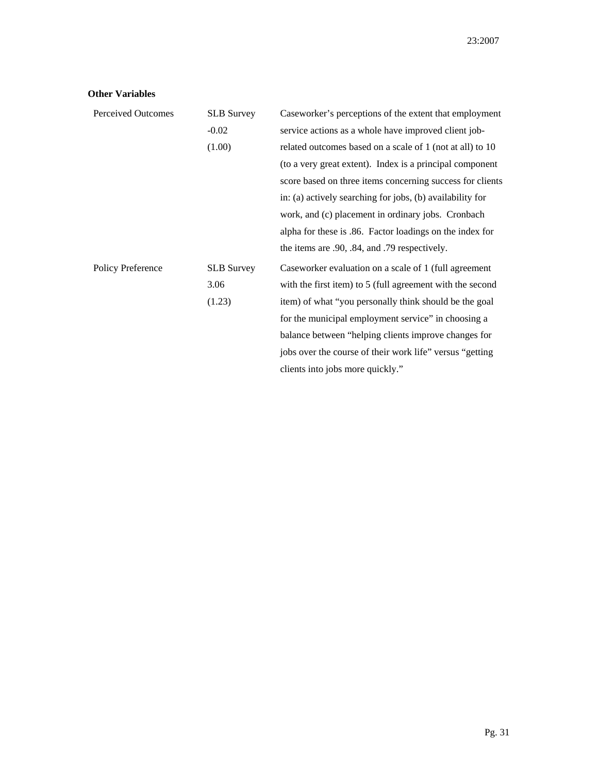## **Other Variables**

| <b>Perceived Outcomes</b> | <b>SLB</b> Survey | Caseworker's perceptions of the extent that employment    |
|---------------------------|-------------------|-----------------------------------------------------------|
|                           | $-0.02$           | service actions as a whole have improved client job-      |
|                           | (1.00)            | related outcomes based on a scale of 1 (not at all) to 10 |
|                           |                   | (to a very great extent). Index is a principal component  |
|                           |                   | score based on three items concerning success for clients |
|                           |                   | in: (a) actively searching for jobs, (b) availability for |
|                           |                   | work, and (c) placement in ordinary jobs. Cronbach        |
|                           |                   | alpha for these is .86. Factor loadings on the index for  |
|                           |                   | the items are .90, .84, and .79 respectively.             |
| Policy Preference         | <b>SLB</b> Survey | Caseworker evaluation on a scale of 1 (full agreement     |
|                           | 3.06              | with the first item) to 5 (full agreement with the second |
|                           | (1.23)            | item) of what "you personally think should be the goal    |
|                           |                   | for the municipal employment service" in choosing a       |
|                           |                   | balance between "helping clients improve changes for      |
|                           |                   | jobs over the course of their work life" versus "getting  |
|                           |                   | clients into jobs more quickly."                          |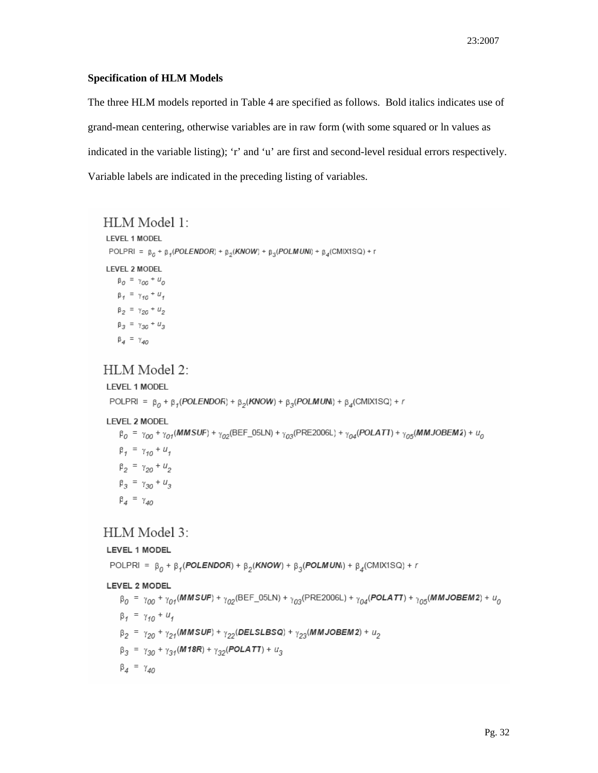#### **Specification of HLM Models**

The three HLM models reported in Table 4 are specified as follows. Bold italics indicates use of grand-mean centering, otherwise variables are in raw form (with some squared or ln values as indicated in the variable listing); 'r' and 'u' are first and second-level residual errors respectively. Variable labels are indicated in the preceding listing of variables.

```
HLM Model 1:
LEVEL 1 MODEL
 POLPRI = \beta_0 + \beta_1(POLENDOR) + \beta_2(KNOW) + \beta_3(POLMUNI) + \beta_4(CMIX1SQ) + r
LEVEL 2 MODEL
    \beta_0 = \gamma_{00} + u_0\beta_1 = \gamma_{10} + u_1\beta_2 = \gamma_{20} + u_2\beta_3 = \gamma_{30} + u_3
```
# $\beta_d = \gamma_{d0}$

## HLM Model 2:

#### **LEVEL 1 MODEL**

POLPRI =  $\beta_0 + \beta_1 (POLENDOF) + \beta_2 (KNOW) + \beta_3 (POLMUM) + \beta_4 (CMIX 1SG) + r$ 

#### **LEVEL 2 MODEL**

 $\beta_0 = \gamma_{00} + \gamma_{01}$ (MMSUF) +  $\gamma_{02}$ (BEF\_05LN) +  $\gamma_{03}$ (PRE2006L) +  $\gamma_{04}$ (POLATT) +  $\gamma_{05}$ (MMJOBEM2) +  $u_0$  $\beta_1 = \gamma_{10} + u_1$  $\beta_2 = \gamma_{20} + u_2$  $\beta_3 = \gamma_{30} + u_3$  $\beta_4 = \gamma_{40}$ 

## HLM Model 3:

#### LEVEL 1 MODEL

POLPRI =  $\beta_0 + \beta_1 (POLENDOR) + \beta_2 (KNOW) + \beta_3 (POLMUN) + \beta_4 (CMIX 1SQ) + r$ 

LEVEL 2 MODEL

 $\beta_0 = \gamma_{00} + \gamma_{01}$ (MMSUF) +  $\gamma_{02}$ (BEF\_05LN) +  $\gamma_{03}$ (PRE2006L) +  $\gamma_{04}$ (POLATT) +  $\gamma_{05}$ (MMJOBEM2) +  $u_0$  $\beta_1 = \gamma_{10} + u_1$  $\beta_2 = \gamma_{20} + \gamma_{21}$ (MMSUF) +  $\gamma_{22}$ (DELSLBSQ) +  $\gamma_{23}$ (MMJOBEM2) +  $u_2$  $\beta_3 = \gamma_{30} + \gamma_{31} (M18R) + \gamma_{32} (POLATT) + u_3$  $\beta_4 = \gamma_{40}$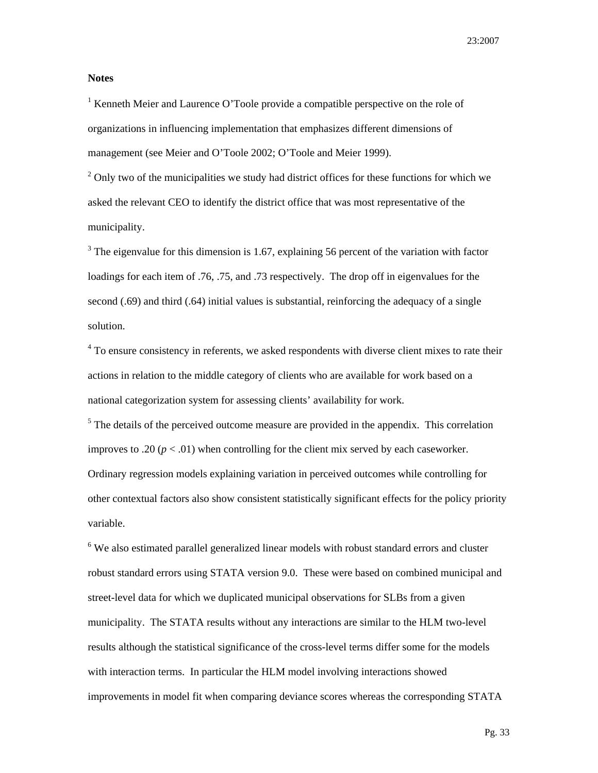#### **Notes**

<sup>1</sup> Kenneth Meier and Laurence O'Toole provide a compatible perspective on the role of organizations in influencing implementation that emphasizes different dimensions of management (see Meier and O'Toole 2002; O'Toole and Meier 1999).

 $2^2$  Only two of the municipalities we study had district offices for these functions for which we asked the relevant CEO to identify the district office that was most representative of the municipality.

 $3$  The eigenvalue for this dimension is 1.67, explaining 56 percent of the variation with factor loadings for each item of .76, .75, and .73 respectively. The drop off in eigenvalues for the second (.69) and third (.64) initial values is substantial, reinforcing the adequacy of a single solution.

<sup>4</sup> To ensure consistency in referents, we asked respondents with diverse client mixes to rate their actions in relation to the middle category of clients who are available for work based on a national categorization system for assessing clients' availability for work.

 $<sup>5</sup>$  The details of the perceived outcome measure are provided in the appendix. This correlation</sup> improves to .20 ( $p < .01$ ) when controlling for the client mix served by each caseworker. Ordinary regression models explaining variation in perceived outcomes while controlling for other contextual factors also show consistent statistically significant effects for the policy priority variable.

<sup>6</sup> We also estimated parallel generalized linear models with robust standard errors and cluster robust standard errors using STATA version 9.0. These were based on combined municipal and street-level data for which we duplicated municipal observations for SLBs from a given municipality. The STATA results without any interactions are similar to the HLM two-level results although the statistical significance of the cross-level terms differ some for the models with interaction terms. In particular the HLM model involving interactions showed improvements in model fit when comparing deviance scores whereas the corresponding STATA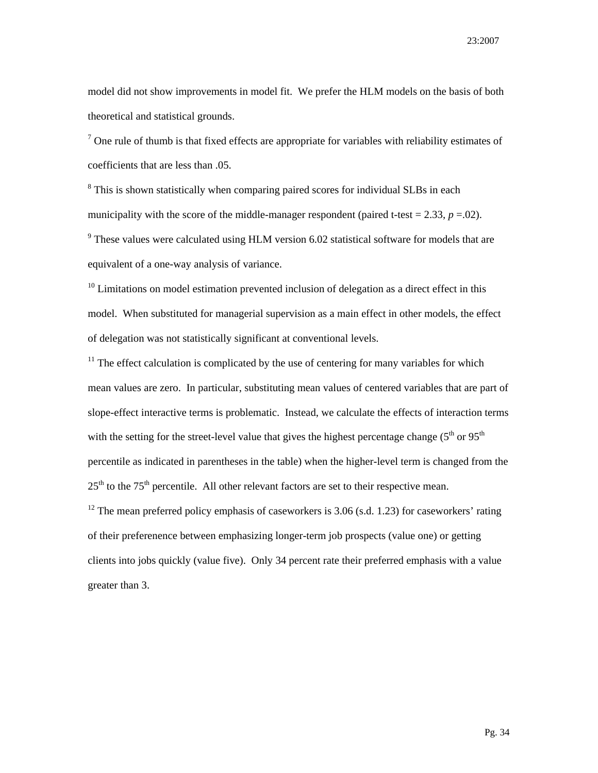model did not show improvements in model fit. We prefer the HLM models on the basis of both theoretical and statistical grounds.

 $<sup>7</sup>$  One rule of thumb is that fixed effects are appropriate for variables with reliability estimates of</sup> coefficients that are less than .05.

<sup>8</sup> This is shown statistically when comparing paired scores for individual SLBs in each municipality with the score of the middle-manager respondent (paired t-test  $= 2.33, p = .02$ ).  $9$ <sup>9</sup> These values were calculated using HLM version 6.02 statistical software for models that are equivalent of a one-way analysis of variance.

 $10$  Limitations on model estimation prevented inclusion of delegation as a direct effect in this model. When substituted for managerial supervision as a main effect in other models, the effect of delegation was not statistically significant at conventional levels.

 $11$  The effect calculation is complicated by the use of centering for many variables for which mean values are zero. In particular, substituting mean values of centered variables that are part of slope-effect interactive terms is problematic. Instead, we calculate the effects of interaction terms with the setting for the street-level value that gives the highest percentage change ( $5<sup>th</sup>$  or  $95<sup>th</sup>$ ) percentile as indicated in parentheses in the table) when the higher-level term is changed from the  $25<sup>th</sup>$  to the 75<sup>th</sup> percentile. All other relevant factors are set to their respective mean.

 $12$  The mean preferred policy emphasis of caseworkers is 3.06 (s.d. 1.23) for caseworkers' rating of their preferenence between emphasizing longer-term job prospects (value one) or getting clients into jobs quickly (value five). Only 34 percent rate their preferred emphasis with a value greater than 3.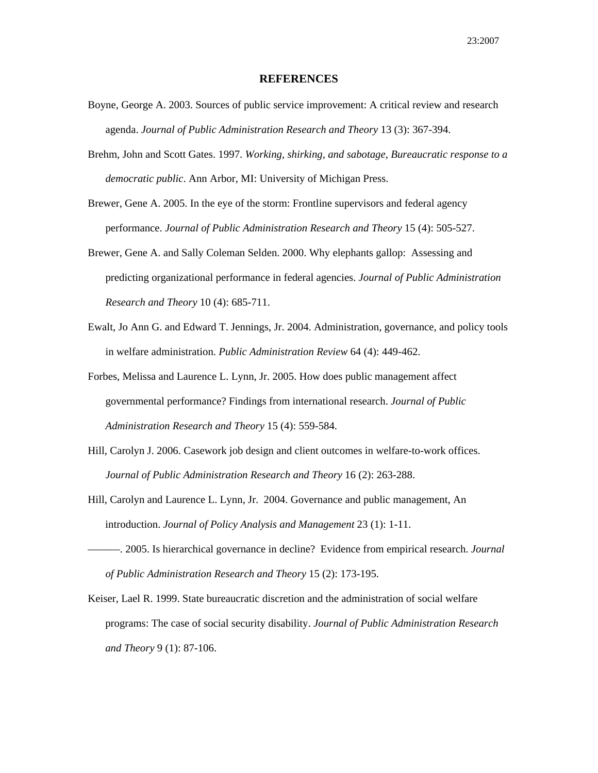#### **REFERENCES**

- Boyne, George A. 2003. Sources of public service improvement: A critical review and research agenda. *Journal of Public Administration Research and Theory* 13 (3): 367-394.
- Brehm, John and Scott Gates. 1997. *Working, shirking, and sabotage, Bureaucratic response to a democratic public*. Ann Arbor, MI: University of Michigan Press.
- Brewer, Gene A. 2005. In the eye of the storm: Frontline supervisors and federal agency performance. *Journal of Public Administration Research and Theory* 15 (4): 505-527.
- Brewer, Gene A. and Sally Coleman Selden. 2000. Why elephants gallop: Assessing and predicting organizational performance in federal agencies. *Journal of Public Administration Research and Theory* 10 (4): 685-711.
- Ewalt, Jo Ann G. and Edward T. Jennings, Jr. 2004. Administration, governance, and policy tools in welfare administration. *Public Administration Review* 64 (4): 449-462.
- Forbes, Melissa and Laurence L. Lynn, Jr. 2005. How does public management affect governmental performance? Findings from international research. *Journal of Public Administration Research and Theory* 15 (4): 559-584.
- Hill, Carolyn J. 2006. Casework job design and client outcomes in welfare-to-work offices. *Journal of Public Administration Research and Theory* 16 (2): 263-288.
- Hill, Carolyn and Laurence L. Lynn, Jr. 2004. Governance and public management, An introduction. *Journal of Policy Analysis and Management* 23 (1): 1-11.
- ———. 2005. Is hierarchical governance in decline? Evidence from empirical research. *Journal of Public Administration Research and Theory* 15 (2): 173-195.
- Keiser, Lael R. 1999. State bureaucratic discretion and the administration of social welfare programs: The case of social security disability. *Journal of Public Administration Research and Theory* 9 (1): 87-106.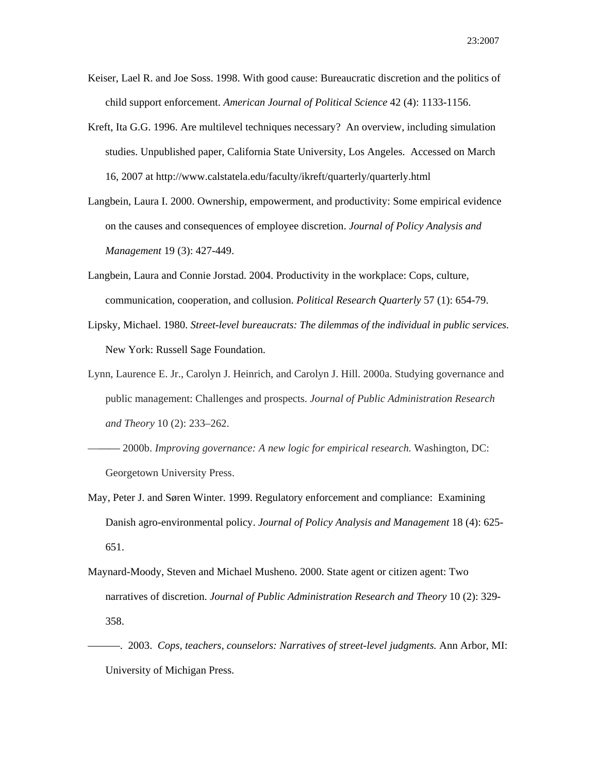- Keiser, Lael R. and Joe Soss. 1998. With good cause: Bureaucratic discretion and the politics of child support enforcement. *American Journal of Political Science* 42 (4): 1133-1156.
- Kreft, Ita G.G. 1996. Are multilevel techniques necessary? An overview, including simulation studies. Unpublished paper, California State University, Los Angeles. Accessed on March 16, 2007 at http://www.calstatela.edu/faculty/ikreft/quarterly/quarterly.html
- Langbein, Laura I. 2000. Ownership, empowerment, and productivity: Some empirical evidence on the causes and consequences of employee discretion. *Journal of Policy Analysis and Management* 19 (3): 427-449.
- Langbein, Laura and Connie Jorstad. 2004. Productivity in the workplace: Cops, culture, communication, cooperation, and collusion. *Political Research Quarterly* 57 (1): 654-79.
- Lipsky, Michael. 1980. *Street-level bureaucrats: The dilemmas of the individual in public services*. New York: Russell Sage Foundation.
- Lynn, Laurence E. Jr., Carolyn J. Heinrich, and Carolyn J. Hill. 2000a. Studying governance and public management: Challenges and prospects. *Journal of Public Administration Research and Theory* 10 (2): 233–262.
- ——— 2000b. *Improving governance: A new logic for empirical research.* Washington, DC: Georgetown University Press.
- May, Peter J. and Søren Winter. 1999. Regulatory enforcement and compliance: Examining Danish agro-environmental policy. *Journal of Policy Analysis and Management* 18 (4): 625- 651.
- Maynard-Moody, Steven and Michael Musheno. 2000. State agent or citizen agent: Two narratives of discretion. *Journal of Public Administration Research and Theory* 10 (2): 329- 358.
- ———. 2003. *Cops, teachers, counselors: Narratives of street-level judgments.* Ann Arbor, MI: University of Michigan Press.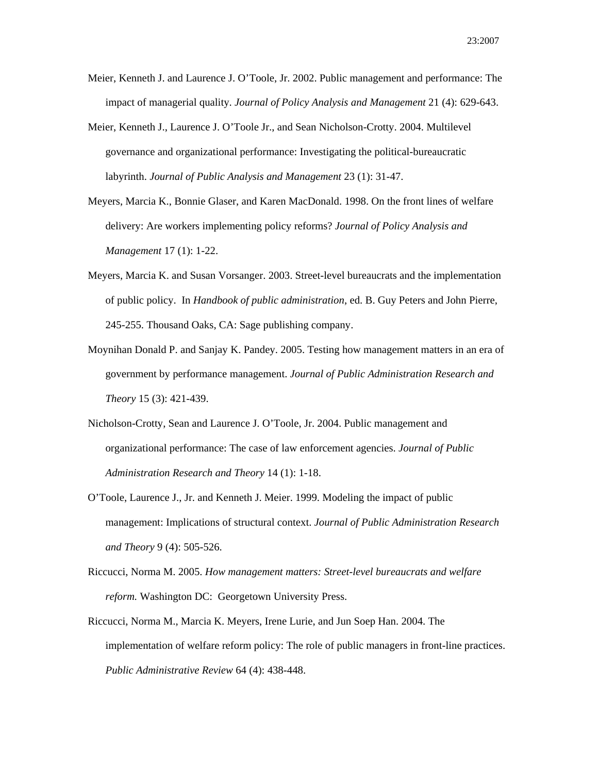- Meier, Kenneth J. and Laurence J. O'Toole, Jr. 2002. Public management and performance: The impact of managerial quality. *Journal of Policy Analysis and Management* 21 (4): 629-643.
- Meier, Kenneth J., Laurence J. O'Toole Jr., and Sean Nicholson-Crotty. 2004. Multilevel governance and organizational performance: Investigating the political-bureaucratic labyrinth. *Journal of Public Analysis and Management* 23 (1): 31-47.
- Meyers, Marcia K., Bonnie Glaser, and Karen MacDonald. 1998. On the front lines of welfare delivery: Are workers implementing policy reforms? *Journal of Policy Analysis and Management* 17 (1): 1-22.
- Meyers, Marcia K. and Susan Vorsanger. 2003. Street-level bureaucrats and the implementation of public policy. In *Handbook of public administration*, ed. B. Guy Peters and John Pierre, 245-255. Thousand Oaks, CA: Sage publishing company.
- Moynihan Donald P. and Sanjay K. Pandey. 2005. Testing how management matters in an era of government by performance management. *Journal of Public Administration Research and Theory* 15 (3): 421-439.
- Nicholson-Crotty, Sean and Laurence J. O'Toole, Jr. 2004. Public management and organizational performance: The case of law enforcement agencies. *Journal of Public Administration Research and Theory* 14 (1): 1-18.
- O'Toole, Laurence J., Jr. and Kenneth J. Meier. 1999. Modeling the impact of public management: Implications of structural context. *Journal of Public Administration Research and Theory* 9 (4): 505-526.
- Riccucci, Norma M. 2005. *How management matters: Street-level bureaucrats and welfare reform.* Washington DC: Georgetown University Press.
- Riccucci, Norma M., Marcia K. Meyers, Irene Lurie, and Jun Soep Han. 2004. The implementation of welfare reform policy: The role of public managers in front-line practices. *Public Administrative Review* 64 (4): 438-448.